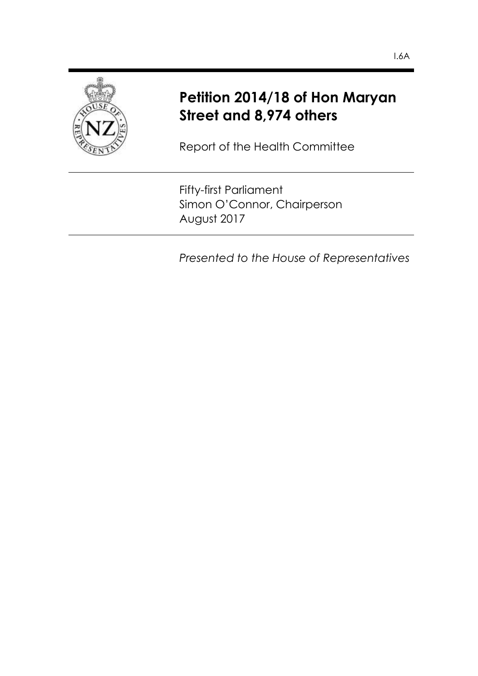

# **Petition 2014/18 of Hon Maryan Street and 8,974 others**

Report of the Health Committee

Fifty-first Parliament Simon O'Connor, Chairperson August 2017

*Presented to the House of Representatives*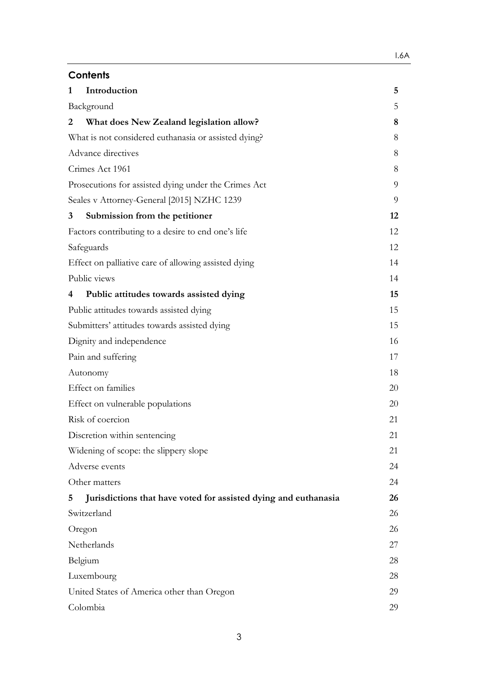| Introduction<br>1                                                    | 5  |  |
|----------------------------------------------------------------------|----|--|
| Background                                                           |    |  |
| What does New Zealand legislation allow?<br>2                        | 8  |  |
| What is not considered euthanasia or assisted dying?                 |    |  |
| Advance directives                                                   |    |  |
| Crimes Act 1961                                                      |    |  |
| Prosecutions for assisted dying under the Crimes Act                 |    |  |
| Seales v Attorney-General [2015] NZHC 1239                           | 9  |  |
| Submission from the petitioner<br>3                                  | 12 |  |
| Factors contributing to a desire to end one's life                   | 12 |  |
| Safeguards                                                           |    |  |
| Effect on palliative care of allowing assisted dying                 | 14 |  |
| Public views                                                         | 14 |  |
| Public attitudes towards assisted dying<br>4                         | 15 |  |
| Public attitudes towards assisted dying                              |    |  |
| Submitters' attitudes towards assisted dying                         |    |  |
| Dignity and independence                                             |    |  |
| Pain and suffering                                                   |    |  |
| Autonomy                                                             |    |  |
| Effect on families                                                   |    |  |
| Effect on vulnerable populations                                     |    |  |
| Risk of coercion                                                     |    |  |
| Discretion within sentencing                                         |    |  |
| Widening of scope: the slippery slope                                |    |  |
| Adverse events                                                       |    |  |
| Other matters                                                        | 24 |  |
| Jurisdictions that have voted for assisted dying and euthanasia<br>5 | 26 |  |
| Switzerland                                                          | 26 |  |
| Oregon                                                               |    |  |
| Netherlands                                                          |    |  |
| Belgium                                                              |    |  |
| Luxembourg                                                           |    |  |
| United States of America other than Oregon                           |    |  |
| Colombia                                                             |    |  |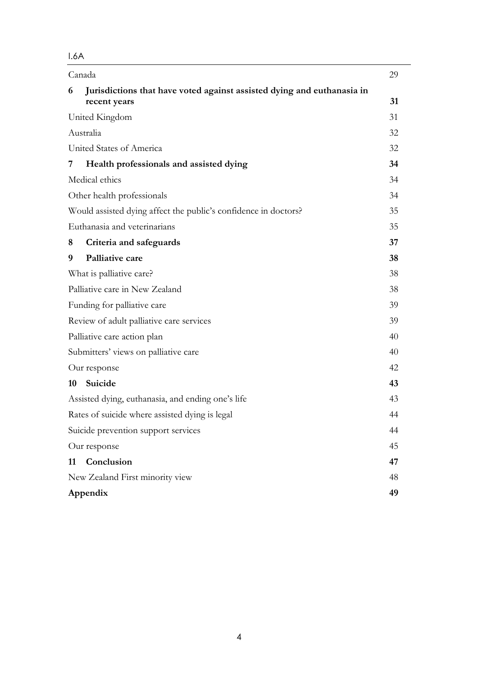|           | Canada                                                                                 | 29 |
|-----------|----------------------------------------------------------------------------------------|----|
| 6         | Jurisdictions that have voted against assisted dying and euthanasia in<br>recent years | 31 |
|           | United Kingdom                                                                         | 31 |
| Australia |                                                                                        | 32 |
|           | United States of America                                                               | 32 |
| 7         | Health professionals and assisted dying                                                | 34 |
|           | Medical ethics                                                                         | 34 |
|           | Other health professionals                                                             | 34 |
|           | Would assisted dying affect the public's confidence in doctors?                        | 35 |
|           | Euthanasia and veterinarians                                                           | 35 |
| 8         | Criteria and safeguards                                                                | 37 |
| 9         | Palliative care                                                                        | 38 |
|           | What is palliative care?                                                               | 38 |
|           | Palliative care in New Zealand                                                         | 38 |
|           | Funding for palliative care                                                            | 39 |
|           | Review of adult palliative care services                                               |    |
|           | Palliative care action plan                                                            | 40 |
|           | Submitters' views on palliative care                                                   | 40 |
|           | Our response                                                                           | 42 |
| 10        | Suicide                                                                                | 43 |
|           | Assisted dying, euthanasia, and ending one's life                                      | 43 |
|           | Rates of suicide where assisted dying is legal                                         | 44 |
|           | Suicide prevention support services                                                    | 44 |
|           | Our response                                                                           | 45 |
| 11        | Conclusion                                                                             | 47 |
|           | New Zealand First minority view                                                        | 48 |
|           | Appendix                                                                               | 49 |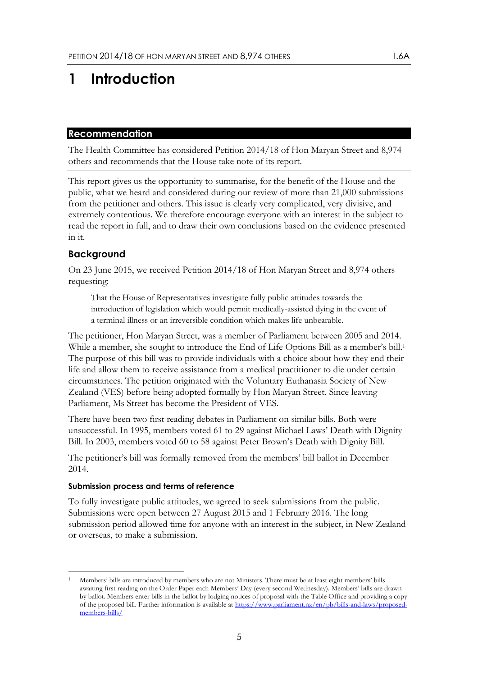# <span id="page-4-0"></span>**1 Introduction**

#### **Recommendation**

The Health Committee has considered Petition 2014/18 of Hon Maryan Street and 8,974 others and recommends that the House take note of its report.

This report gives us the opportunity to summarise, for the benefit of the House and the public, what we heard and considered during our review of more than 21,000 submissions from the petitioner and others. This issue is clearly very complicated, very divisive, and extremely contentious. We therefore encourage everyone with an interest in the subject to read the report in full, and to draw their own conclusions based on the evidence presented in it.

## <span id="page-4-1"></span>**Background**

On 23 June 2015, we received Petition 2014/18 of Hon Maryan Street and 8,974 others requesting:

That the House of Representatives investigate fully public attitudes towards the introduction of legislation which would permit medically-assisted dying in the event of a terminal illness or an irreversible condition which makes life unbearable.

The petitioner, Hon Maryan Street, was a member of Parliament between 2005 and 2014. While a member, she sought to introduce the End of Life Options Bill as a member's bill. 1 The purpose of this bill was to provide individuals with a choice about how they end their life and allow them to receive assistance from a medical practitioner to die under certain circumstances. The petition originated with the Voluntary Euthanasia Society of New Zealand (VES) before being adopted formally by Hon Maryan Street. Since leaving Parliament, Ms Street has become the President of VES.

There have been two first reading debates in Parliament on similar bills. Both were unsuccessful. In 1995, members voted 61 to 29 against Michael Laws' Death with Dignity Bill. In 2003, members voted 60 to 58 against Peter Brown's Death with Dignity Bill.

The petitioner's bill was formally removed from the members' bill ballot in December 2014.

#### **Submission process and terms of reference**

To fully investigate public attitudes, we agreed to seek submissions from the public. Submissions were open between 27 August 2015 and 1 February 2016. The long submission period allowed time for anyone with an interest in the subject, in New Zealand or overseas, to make a submission.

<sup>-</sup><sup>1</sup> Members' bills are introduced by members who are not Ministers. There must be at least eight members' bills awaiting first reading on the Order Paper each Members' Day (every second Wednesday). Members' bills are drawn by ballot. Members enter bills in the ballot by lodging notices of proposal with the Table Office and providing a copy of the proposed bill. Further information is available at [https://www.parliament.nz/en/pb/bills-and-laws/proposed](http://bit.ly/2g05ono)[members-bills/](http://bit.ly/2g05ono)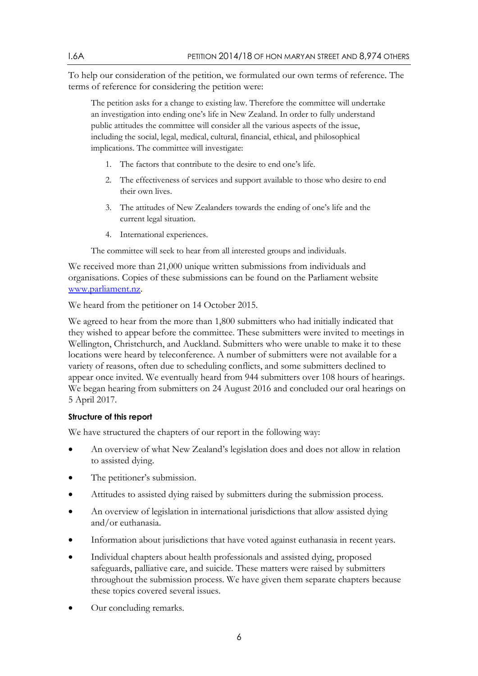To help our consideration of the petition, we formulated our own terms of reference. The terms of reference for considering the petition were:

The petition asks for a change to existing law. Therefore the committee will undertake an investigation into ending one's life in New Zealand. In order to fully understand public attitudes the committee will consider all the various aspects of the issue, including the social, legal, medical, cultural, financial, ethical, and philosophical implications. The committee will investigate:

- 1. The factors that contribute to the desire to end one's life.
- 2. The effectiveness of services and support available to those who desire to end their own lives.
- 3. The attitudes of New Zealanders towards the ending of one's life and the current legal situation.
- 4. International experiences.

The committee will seek to hear from all interested groups and individuals.

We received more than 21,000 unique written submissions from individuals and organisations. Copies of these submissions can be found on the Parliament website [www.parliament.nz.](http://www.parliament.nz/)

We heard from the petitioner on 14 October 2015.

We agreed to hear from the more than 1,800 submitters who had initially indicated that they wished to appear before the committee. These submitters were invited to meetings in Wellington, Christchurch, and Auckland. Submitters who were unable to make it to these locations were heard by teleconference. A number of submitters were not available for a variety of reasons, often due to scheduling conflicts, and some submitters declined to appear once invited. We eventually heard from 944 submitters over 108 hours of hearings. We began hearing from submitters on 24 August 2016 and concluded our oral hearings on 5 April 2017.

#### **Structure of this report**

We have structured the chapters of our report in the following way:

- An overview of what New Zealand's legislation does and does not allow in relation to assisted dying.
- The petitioner's submission.
- Attitudes to assisted dying raised by submitters during the submission process.
- An overview of legislation in international jurisdictions that allow assisted dying and/or euthanasia.
- Information about jurisdictions that have voted against euthanasia in recent years.
- Individual chapters about health professionals and assisted dying, proposed safeguards, palliative care, and suicide. These matters were raised by submitters throughout the submission process. We have given them separate chapters because these topics covered several issues.
- Our concluding remarks.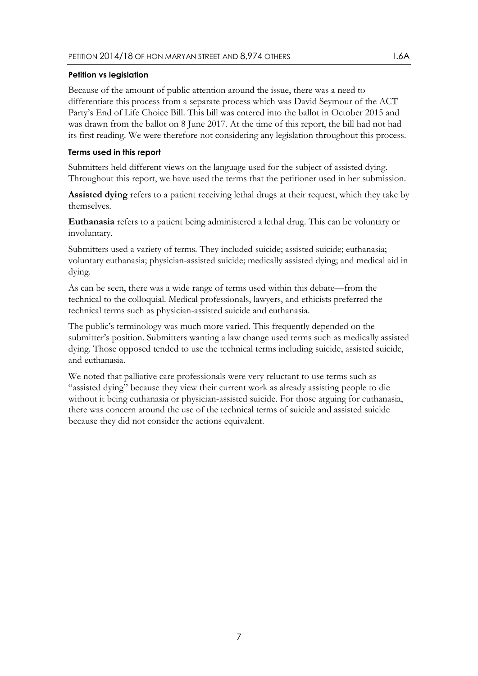#### **Petition vs legislation**

Because of the amount of public attention around the issue, there was a need to differentiate this process from a separate process which was David Seymour of the ACT Party's End of Life Choice Bill. This bill was entered into the ballot in October 2015 and was drawn from the ballot on 8 June 2017. At the time of this report, the bill had not had its first reading. We were therefore not considering any legislation throughout this process.

#### **Terms used in this report**

Submitters held different views on the language used for the subject of assisted dying. Throughout this report, we have used the terms that the petitioner used in her submission.

**Assisted dying** refers to a patient receiving lethal drugs at their request, which they take by themselves.

**Euthanasia** refers to a patient being administered a lethal drug. This can be voluntary or involuntary.

Submitters used a variety of terms. They included suicide; assisted suicide; euthanasia; voluntary euthanasia; physician-assisted suicide; medically assisted dying; and medical aid in dying.

As can be seen, there was a wide range of terms used within this debate—from the technical to the colloquial. Medical professionals, lawyers, and ethicists preferred the technical terms such as physician-assisted suicide and euthanasia.

The public's terminology was much more varied. This frequently depended on the submitter's position. Submitters wanting a law change used terms such as medically assisted dying. Those opposed tended to use the technical terms including suicide, assisted suicide, and euthanasia.

We noted that palliative care professionals were very reluctant to use terms such as "assisted dying" because they view their current work as already assisting people to die without it being euthanasia or physician-assisted suicide. For those arguing for euthanasia, there was concern around the use of the technical terms of suicide and assisted suicide because they did not consider the actions equivalent.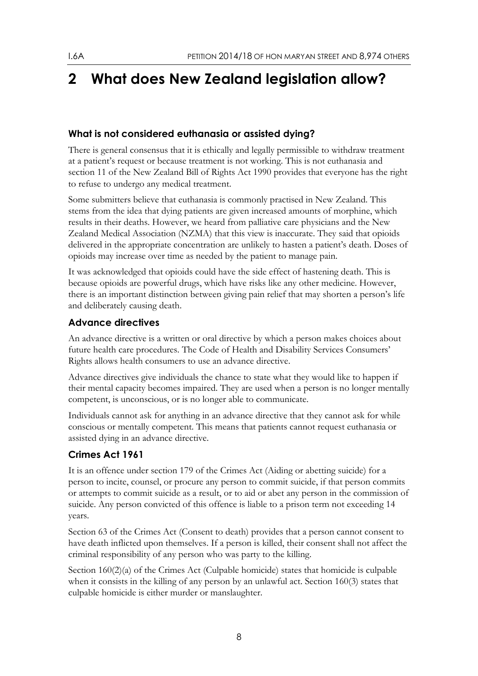# <span id="page-7-0"></span>**2 What does New Zealand legislation allow?**

# <span id="page-7-1"></span>**What is not considered euthanasia or assisted dying?**

There is general consensus that it is ethically and legally permissible to withdraw treatment at a patient's request or because treatment is not working. This is not euthanasia and section 11 of the New Zealand Bill of Rights Act 1990 provides that everyone has the right to refuse to undergo any medical treatment.

Some submitters believe that euthanasia is commonly practised in New Zealand. This stems from the idea that dying patients are given increased amounts of morphine, which results in their deaths. However, we heard from palliative care physicians and the New Zealand Medical Association (NZMA) that this view is inaccurate. They said that opioids delivered in the appropriate concentration are unlikely to hasten a patient's death. Doses of opioids may increase over time as needed by the patient to manage pain.

It was acknowledged that opioids could have the side effect of hastening death. This is because opioids are powerful drugs, which have risks like any other medicine. However, there is an important distinction between giving pain relief that may shorten a person's life and deliberately causing death.

# <span id="page-7-2"></span>**Advance directives**

An advance directive is a written or oral directive by which a person makes choices about future health care procedures. The Code of Health and Disability Services Consumers' Rights allows health consumers to use an advance directive.

Advance directives give individuals the chance to state what they would like to happen if their mental capacity becomes impaired. They are used when a person is no longer mentally competent, is unconscious, or is no longer able to communicate.

Individuals cannot ask for anything in an advance directive that they cannot ask for while conscious or mentally competent. This means that patients cannot request euthanasia or assisted dying in an advance directive.

# <span id="page-7-3"></span>**Crimes Act 1961**

It is an offence under section 179 of the Crimes Act (Aiding or abetting suicide) for a person to incite, counsel, or procure any person to commit suicide, if that person commits or attempts to commit suicide as a result, or to aid or abet any person in the commission of suicide. Any person convicted of this offence is liable to a prison term not exceeding 14 years.

Section 63 of the Crimes Act (Consent to death) provides that a person cannot consent to have death inflicted upon themselves. If a person is killed, their consent shall not affect the criminal responsibility of any person who was party to the killing.

Section 160(2)(a) of the Crimes Act (Culpable homicide) states that homicide is culpable when it consists in the killing of any person by an unlawful act. Section 160(3) states that culpable homicide is either murder or manslaughter.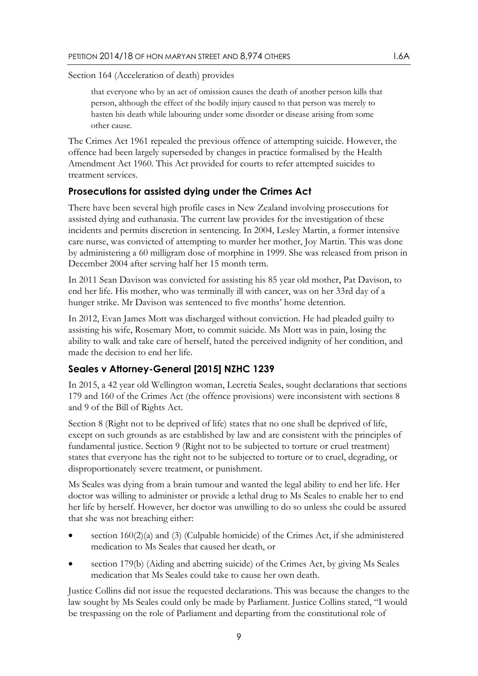Section 164 (Acceleration of death) provides

that everyone who by an act of omission causes the death of another person kills that person, although the effect of the bodily injury caused to that person was merely to hasten his death while labouring under some disorder or disease arising from some other cause.

The Crimes Act 1961 repealed the previous offence of attempting suicide. However, the offence had been largely superseded by changes in practice formalised by the Health Amendment Act 1960. This Act provided for courts to refer attempted suicides to treatment services.

### <span id="page-8-0"></span>**Prosecutions for assisted dying under the Crimes Act**

There have been several high profile cases in New Zealand involving prosecutions for assisted dying and euthanasia. The current law provides for the investigation of these incidents and permits discretion in sentencing. In 2004, Lesley Martin, a former intensive care nurse, was convicted of attempting to murder her mother, Joy Martin. This was done by administering a 60 milligram dose of morphine in 1999. She was released from prison in December 2004 after serving half her 15 month term.

In 2011 Sean Davison was convicted for assisting his 85 year old mother, Pat Davison, to end her life. His mother, who was terminally ill with cancer, was on her 33rd day of a hunger strike. Mr Davison was sentenced to five months' home detention.

In 2012, Evan James Mott was discharged without conviction. He had pleaded guilty to assisting his wife, Rosemary Mott, to commit suicide. Ms Mott was in pain, losing the ability to walk and take care of herself, hated the perceived indignity of her condition, and made the decision to end her life.

### <span id="page-8-1"></span>**Seales v Attorney-General [2015] NZHC 1239**

In 2015, a 42 year old Wellington woman, Lecretia Seales, sought declarations that sections 179 and 160 of the Crimes Act (the offence provisions) were inconsistent with sections 8 and 9 of the Bill of Rights Act.

Section 8 (Right not to be deprived of life) states that no one shall be deprived of life, except on such grounds as are established by law and are consistent with the principles of fundamental justice. Section 9 (Right not to be subjected to torture or cruel treatment) states that everyone has the right not to be subjected to torture or to cruel, degrading, or disproportionately severe treatment, or punishment.

Ms Seales was dying from a brain tumour and wanted the legal ability to end her life. Her doctor was willing to administer or provide a lethal drug to Ms Seales to enable her to end her life by herself. However, her doctor was unwilling to do so unless she could be assured that she was not breaching either:

- section  $160(2)(a)$  and  $(3)$  (Culpable homicide) of the Crimes Act, if she administered medication to Ms Seales that caused her death, or
- section 179(b) (Aiding and abetting suicide) of the Crimes Act, by giving Ms Seales medication that Ms Seales could take to cause her own death.

Justice Collins did not issue the requested declarations. This was because the changes to the law sought by Ms Seales could only be made by Parliament. Justice Collins stated, "I would be trespassing on the role of Parliament and departing from the constitutional role of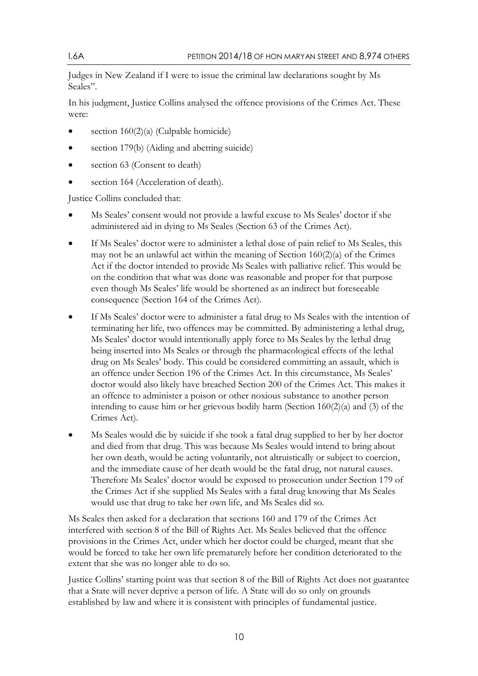Judges in New Zealand if I were to issue the criminal law declarations sought by Ms Seales".

In his judgment, Justice Collins analysed the offence provisions of the Crimes Act. These were:

- section  $160(2)(a)$  (Culpable homicide)
- section 179(b) (Aiding and abetting suicide)
- section 63 (Consent to death)
- section 164 (Acceleration of death).

Justice Collins concluded that:

- Ms Seales' consent would not provide a lawful excuse to Ms Seales' doctor if she administered aid in dying to Ms Seales (Section 63 of the Crimes Act).
- If Ms Seales' doctor were to administer a lethal dose of pain relief to Ms Seales, this may not be an unlawful act within the meaning of Section 160(2)(a) of the Crimes Act if the doctor intended to provide Ms Seales with palliative relief. This would be on the condition that what was done was reasonable and proper for that purpose even though Ms Seales' life would be shortened as an indirect but foreseeable consequence (Section 164 of the Crimes Act).
- If Ms Seales' doctor were to administer a fatal drug to Ms Seales with the intention of terminating her life, two offences may be committed. By administering a lethal drug, Ms Seales' doctor would intentionally apply force to Ms Seales by the lethal drug being inserted into Ms Seales or through the pharmacological effects of the lethal drug on Ms Seales' body. This could be considered committing an assault, which is an offence under Section 196 of the Crimes Act. In this circumstance, Ms Seales' doctor would also likely have breached Section 200 of the Crimes Act. This makes it an offence to administer a poison or other noxious substance to another person intending to cause him or her grievous bodily harm (Section 160(2)(a) and (3) of the Crimes Act).
- Ms Seales would die by suicide if she took a fatal drug supplied to her by her doctor and died from that drug. This was because Ms Seales would intend to bring about her own death, would be acting voluntarily, not altruistically or subject to coercion, and the immediate cause of her death would be the fatal drug, not natural causes. Therefore Ms Seales' doctor would be exposed to prosecution under Section 179 of the Crimes Act if she supplied Ms Seales with a fatal drug knowing that Ms Seales would use that drug to take her own life, and Ms Seales did so.

Ms Seales then asked for a declaration that sections 160 and 179 of the Crimes Act interfered with section 8 of the Bill of Rights Act. Ms Seales believed that the offence provisions in the Crimes Act, under which her doctor could be charged, meant that she would be forced to take her own life prematurely before her condition deteriorated to the extent that she was no longer able to do so.

Justice Collins' starting point was that section 8 of the Bill of Rights Act does not guarantee that a State will never deprive a person of life. A State will do so only on grounds established by law and where it is consistent with principles of fundamental justice.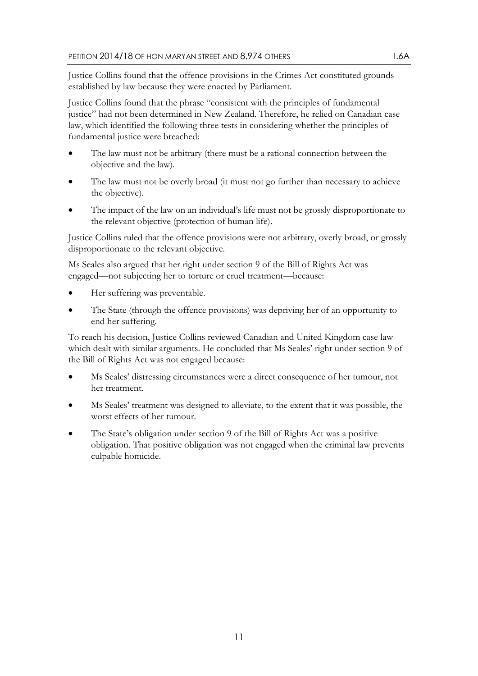Justice Collins found that the offence provisions in the Crimes Act constituted grounds established by law because they were enacted by Parliament.

Justice Collins found that the phrase "consistent with the principles of fundamental justice" had not been determined in New Zealand. Therefore, he relied on Canadian case law, which identified the following three tests in considering whether the principles of fundamental justice were breached:

- The law must not be arbitrary (there must be a rational connection between the objective and the law).
- The law must not be overly broad (it must not go further than necessary to achieve the objective).
- The impact of the law on an individual's life must not be grossly disproportionate to the relevant objective (protection of human life).

Justice Collins ruled that the offence provisions were not arbitrary, overly broad, or grossly disproportionate to the relevant objective.

Ms Seales also argued that her right under section 9 of the Bill of Rights Act was engaged—not subjecting her to torture or cruel treatment—because:

- Her suffering was preventable.
- The State (through the offence provisions) was depriving her of an opportunity to end her suffering.

To reach his decision, Justice Collins reviewed Canadian and United Kingdom case law which dealt with similar arguments. He concluded that Ms Seales' right under section 9 of the Bill of Rights Act was not engaged because:

- Ms Seales' distressing circumstances were a direct consequence of her tumour, not her treatment.
- Ms Seales' treatment was designed to alleviate, to the extent that it was possible, the worst effects of her tumour.
- The State's obligation under section 9 of the Bill of Rights Act was a positive obligation. That positive obligation was not engaged when the criminal law prevents culpable homicide.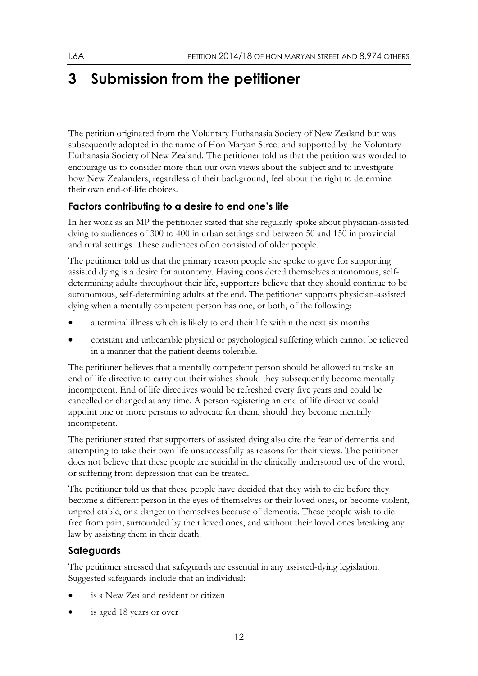# <span id="page-11-0"></span>**3 Submission from the petitioner**

The petition originated from the Voluntary Euthanasia Society of New Zealand but was subsequently adopted in the name of Hon Maryan Street and supported by the Voluntary Euthanasia Society of New Zealand. The petitioner told us that the petition was worded to encourage us to consider more than our own views about the subject and to investigate how New Zealanders, regardless of their background, feel about the right to determine their own end-of-life choices.

# <span id="page-11-1"></span>**Factors contributing to a desire to end one's life**

In her work as an MP the petitioner stated that she regularly spoke about physician-assisted dying to audiences of 300 to 400 in urban settings and between 50 and 150 in provincial and rural settings. These audiences often consisted of older people.

The petitioner told us that the primary reason people she spoke to gave for supporting assisted dying is a desire for autonomy. Having considered themselves autonomous, selfdetermining adults throughout their life, supporters believe that they should continue to be autonomous, self-determining adults at the end. The petitioner supports physician-assisted dying when a mentally competent person has one, or both, of the following:

- a terminal illness which is likely to end their life within the next six months
- constant and unbearable physical or psychological suffering which cannot be relieved in a manner that the patient deems tolerable.

The petitioner believes that a mentally competent person should be allowed to make an end of life directive to carry out their wishes should they subsequently become mentally incompetent. End of life directives would be refreshed every five years and could be cancelled or changed at any time. A person registering an end of life directive could appoint one or more persons to advocate for them, should they become mentally incompetent.

The petitioner stated that supporters of assisted dying also cite the fear of dementia and attempting to take their own life unsuccessfully as reasons for their views. The petitioner does not believe that these people are suicidal in the clinically understood use of the word, or suffering from depression that can be treated.

The petitioner told us that these people have decided that they wish to die before they become a different person in the eyes of themselves or their loved ones, or become violent, unpredictable, or a danger to themselves because of dementia. These people wish to die free from pain, surrounded by their loved ones, and without their loved ones breaking any law by assisting them in their death.

# <span id="page-11-2"></span>**Safeguards**

The petitioner stressed that safeguards are essential in any assisted-dying legislation. Suggested safeguards include that an individual:

- is a New Zealand resident or citizen
- is aged 18 years or over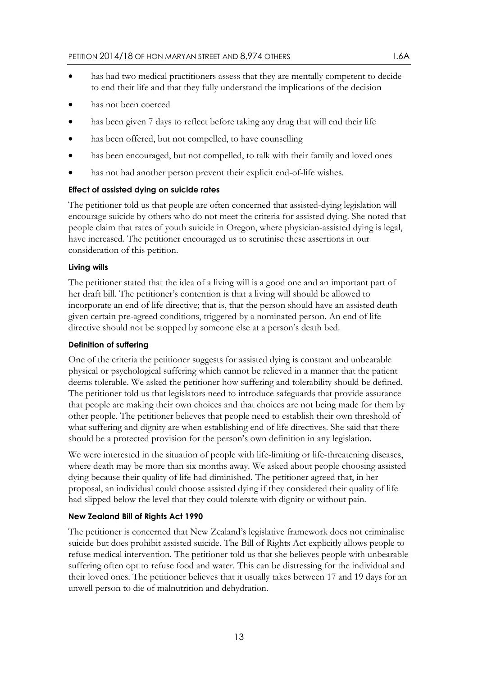- has had two medical practitioners assess that they are mentally competent to decide to end their life and that they fully understand the implications of the decision
- has not been coerced
- has been given 7 days to reflect before taking any drug that will end their life
- has been offered, but not compelled, to have counselling
- has been encouraged, but not compelled, to talk with their family and loved ones
- has not had another person prevent their explicit end-of-life wishes.

#### **Effect of assisted dying on suicide rates**

The petitioner told us that people are often concerned that assisted-dying legislation will encourage suicide by others who do not meet the criteria for assisted dying. She noted that people claim that rates of youth suicide in Oregon, where physician-assisted dying is legal, have increased. The petitioner encouraged us to scrutinise these assertions in our consideration of this petition.

#### **Living wills**

The petitioner stated that the idea of a living will is a good one and an important part of her draft bill. The petitioner's contention is that a living will should be allowed to incorporate an end of life directive; that is, that the person should have an assisted death given certain pre-agreed conditions, triggered by a nominated person. An end of life directive should not be stopped by someone else at a person's death bed.

#### **Definition of suffering**

One of the criteria the petitioner suggests for assisted dying is constant and unbearable physical or psychological suffering which cannot be relieved in a manner that the patient deems tolerable. We asked the petitioner how suffering and tolerability should be defined. The petitioner told us that legislators need to introduce safeguards that provide assurance that people are making their own choices and that choices are not being made for them by other people. The petitioner believes that people need to establish their own threshold of what suffering and dignity are when establishing end of life directives. She said that there should be a protected provision for the person's own definition in any legislation.

We were interested in the situation of people with life-limiting or life-threatening diseases, where death may be more than six months away. We asked about people choosing assisted dying because their quality of life had diminished. The petitioner agreed that, in her proposal, an individual could choose assisted dying if they considered their quality of life had slipped below the level that they could tolerate with dignity or without pain.

### **New Zealand Bill of Rights Act 1990**

The petitioner is concerned that New Zealand's legislative framework does not criminalise suicide but does prohibit assisted suicide. The Bill of Rights Act explicitly allows people to refuse medical intervention. The petitioner told us that she believes people with unbearable suffering often opt to refuse food and water. This can be distressing for the individual and their loved ones. The petitioner believes that it usually takes between 17 and 19 days for an unwell person to die of malnutrition and dehydration.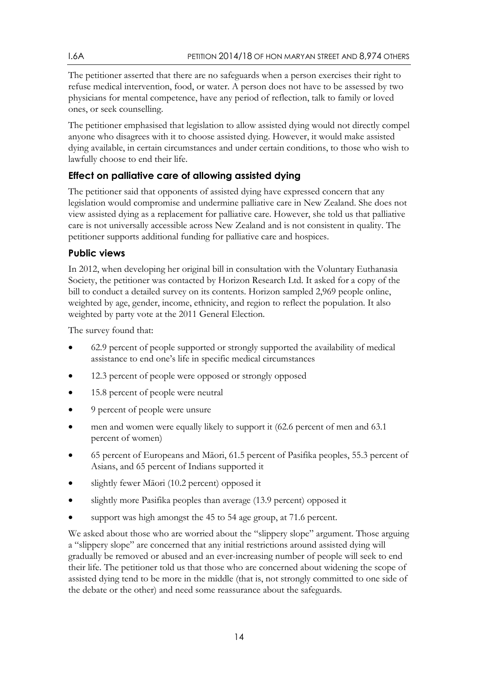The petitioner asserted that there are no safeguards when a person exercises their right to refuse medical intervention, food, or water. A person does not have to be assessed by two physicians for mental competence, have any period of reflection, talk to family or loved ones, or seek counselling.

The petitioner emphasised that legislation to allow assisted dying would not directly compel anyone who disagrees with it to choose assisted dying. However, it would make assisted dying available, in certain circumstances and under certain conditions, to those who wish to lawfully choose to end their life.

# <span id="page-13-0"></span>**Effect on palliative care of allowing assisted dying**

The petitioner said that opponents of assisted dying have expressed concern that any legislation would compromise and undermine palliative care in New Zealand. She does not view assisted dying as a replacement for palliative care. However, she told us that palliative care is not universally accessible across New Zealand and is not consistent in quality. The petitioner supports additional funding for palliative care and hospices.

# <span id="page-13-1"></span>**Public views**

In 2012, when developing her original bill in consultation with the Voluntary Euthanasia Society, the petitioner was contacted by Horizon Research Ltd. It asked for a copy of the bill to conduct a detailed survey on its contents. Horizon sampled 2,969 people online, weighted by age, gender, income, ethnicity, and region to reflect the population. It also weighted by party vote at the 2011 General Election.

The survey found that:

- 62.9 percent of people supported or strongly supported the availability of medical assistance to end one's life in specific medical circumstances
- 12.3 percent of people were opposed or strongly opposed
- 15.8 percent of people were neutral
- 9 percent of people were unsure
- men and women were equally likely to support it (62.6 percent of men and 63.1 percent of women)
- 65 percent of Europeans and Māori, 61.5 percent of Pasifika peoples, 55.3 percent of Asians, and 65 percent of Indians supported it
- slightly fewer Māori (10.2 percent) opposed it
- slightly more Pasifika peoples than average (13.9 percent) opposed it
- support was high amongst the 45 to 54 age group, at 71.6 percent.

We asked about those who are worried about the "slippery slope" argument. Those arguing a "slippery slope" are concerned that any initial restrictions around assisted dying will gradually be removed or abused and an ever-increasing number of people will seek to end their life. The petitioner told us that those who are concerned about widening the scope of assisted dying tend to be more in the middle (that is, not strongly committed to one side of the debate or the other) and need some reassurance about the safeguards.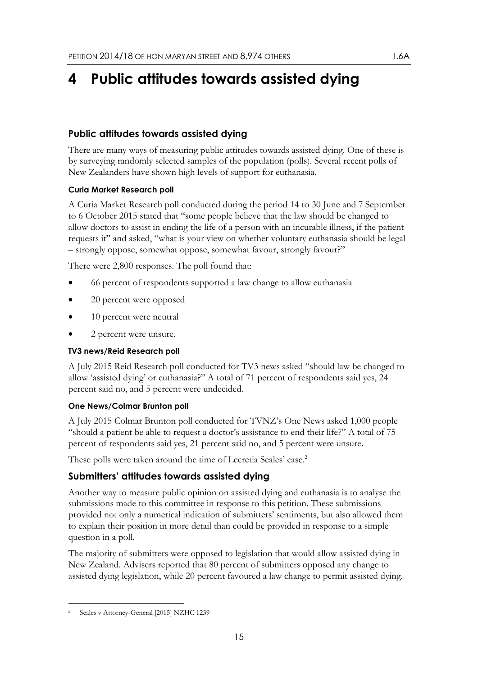# <span id="page-14-0"></span>**4 Public attitudes towards assisted dying**

## <span id="page-14-1"></span>**Public attitudes towards assisted dying**

There are many ways of measuring public attitudes towards assisted dying. One of these is by surveying randomly selected samples of the population (polls). Several recent polls of New Zealanders have shown high levels of support for euthanasia.

### **Curia Market Research poll**

A Curia Market Research poll conducted during the period 14 to 30 June and 7 September to 6 October 2015 stated that "some people believe that the law should be changed to allow doctors to assist in ending the life of a person with an incurable illness, if the patient requests it" and asked, "what is your view on whether voluntary euthanasia should be legal – strongly oppose, somewhat oppose, somewhat favour, strongly favour?"

There were 2,800 responses. The poll found that:

- 66 percent of respondents supported a law change to allow euthanasia
- 20 percent were opposed
- 10 percent were neutral
- 2 percent were unsure.

### **TV3 news/Reid Research poll**

A July 2015 Reid Research poll conducted for TV3 news asked "should law be changed to allow 'assisted dying' or euthanasia?" A total of 71 percent of respondents said yes, 24 percent said no, and 5 percent were undecided.

### **One News/Colmar Brunton poll**

A July 2015 Colmar Brunton poll conducted for TVNZ's One News asked 1,000 people "should a patient be able to request a doctor's assistance to end their life?" A total of 75 percent of respondents said yes, 21 percent said no, and 5 percent were unsure.

These polls were taken around the time of Lecretia Seales' case.<sup>2</sup>

## <span id="page-14-2"></span>**Submitters' attitudes towards assisted dying**

Another way to measure public opinion on assisted dying and euthanasia is to analyse the submissions made to this committee in response to this petition. These submissions provided not only a numerical indication of submitters' sentiments, but also allowed them to explain their position in more detail than could be provided in response to a simple question in a poll.

The majority of submitters were opposed to legislation that would allow assisted dying in New Zealand. Advisers reported that 80 percent of submitters opposed any change to assisted dying legislation, while 20 percent favoured a law change to permit assisted dying.

<sup>-</sup>Seales v Attorney-General [2015] NZHC 1239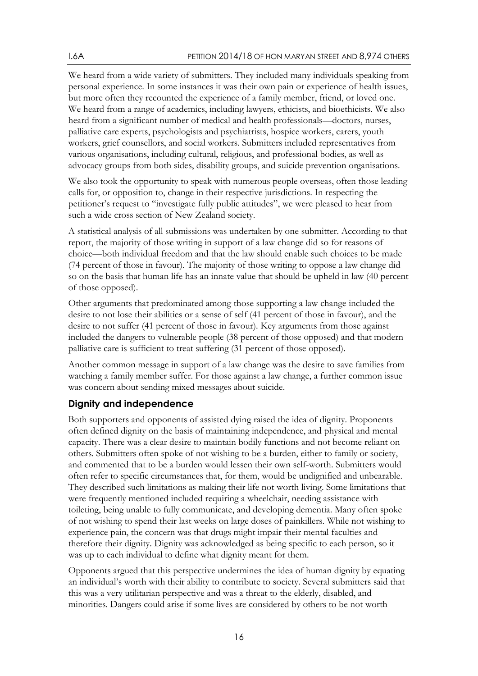We heard from a wide variety of submitters. They included many individuals speaking from personal experience. In some instances it was their own pain or experience of health issues, but more often they recounted the experience of a family member, friend, or loved one. We heard from a range of academics, including lawyers, ethicists, and bioethicists. We also heard from a significant number of medical and health professionals—doctors, nurses, palliative care experts, psychologists and psychiatrists, hospice workers, carers, youth workers, grief counsellors, and social workers. Submitters included representatives from various organisations, including cultural, religious, and professional bodies, as well as advocacy groups from both sides, disability groups, and suicide prevention organisations.

We also took the opportunity to speak with numerous people overseas, often those leading calls for, or opposition to, change in their respective jurisdictions. In respecting the petitioner's request to "investigate fully public attitudes", we were pleased to hear from such a wide cross section of New Zealand society.

A statistical analysis of all submissions was undertaken by one submitter. According to that report, the majority of those writing in support of a law change did so for reasons of choice—both individual freedom and that the law should enable such choices to be made (74 percent of those in favour). The majority of those writing to oppose a law change did so on the basis that human life has an innate value that should be upheld in law (40 percent of those opposed).

Other arguments that predominated among those supporting a law change included the desire to not lose their abilities or a sense of self (41 percent of those in favour), and the desire to not suffer (41 percent of those in favour). Key arguments from those against included the dangers to vulnerable people (38 percent of those opposed) and that modern palliative care is sufficient to treat suffering (31 percent of those opposed).

Another common message in support of a law change was the desire to save families from watching a family member suffer. For those against a law change, a further common issue was concern about sending mixed messages about suicide.

### <span id="page-15-0"></span>**Dignity and independence**

Both supporters and opponents of assisted dying raised the idea of dignity. Proponents often defined dignity on the basis of maintaining independence, and physical and mental capacity. There was a clear desire to maintain bodily functions and not become reliant on others. Submitters often spoke of not wishing to be a burden, either to family or society, and commented that to be a burden would lessen their own self-worth. Submitters would often refer to specific circumstances that, for them, would be undignified and unbearable. They described such limitations as making their life not worth living. Some limitations that were frequently mentioned included requiring a wheelchair, needing assistance with toileting, being unable to fully communicate, and developing dementia. Many often spoke of not wishing to spend their last weeks on large doses of painkillers. While not wishing to experience pain, the concern was that drugs might impair their mental faculties and therefore their dignity. Dignity was acknowledged as being specific to each person, so it was up to each individual to define what dignity meant for them.

Opponents argued that this perspective undermines the idea of human dignity by equating an individual's worth with their ability to contribute to society. Several submitters said that this was a very utilitarian perspective and was a threat to the elderly, disabled, and minorities. Dangers could arise if some lives are considered by others to be not worth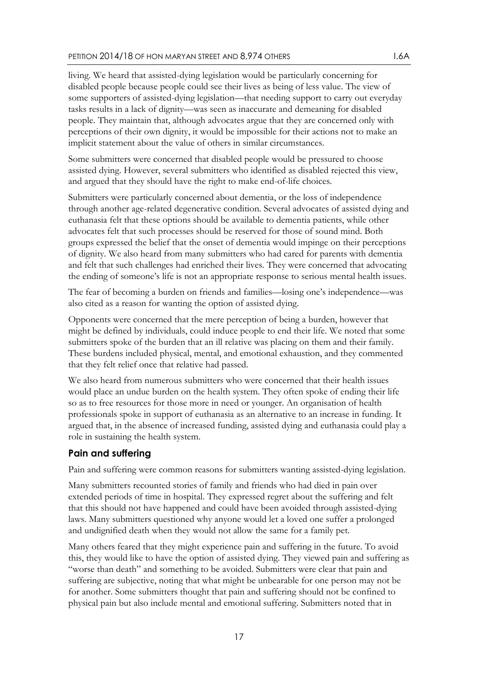living. We heard that assisted-dying legislation would be particularly concerning for disabled people because people could see their lives as being of less value. The view of some supporters of assisted-dying legislation—that needing support to carry out everyday tasks results in a lack of dignity—was seen as inaccurate and demeaning for disabled people. They maintain that, although advocates argue that they are concerned only with perceptions of their own dignity, it would be impossible for their actions not to make an implicit statement about the value of others in similar circumstances.

Some submitters were concerned that disabled people would be pressured to choose assisted dying. However, several submitters who identified as disabled rejected this view, and argued that they should have the right to make end-of-life choices.

Submitters were particularly concerned about dementia, or the loss of independence through another age-related degenerative condition. Several advocates of assisted dying and euthanasia felt that these options should be available to dementia patients, while other advocates felt that such processes should be reserved for those of sound mind. Both groups expressed the belief that the onset of dementia would impinge on their perceptions of dignity. We also heard from many submitters who had cared for parents with dementia and felt that such challenges had enriched their lives. They were concerned that advocating the ending of someone's life is not an appropriate response to serious mental health issues.

The fear of becoming a burden on friends and families—losing one's independence—was also cited as a reason for wanting the option of assisted dying.

Opponents were concerned that the mere perception of being a burden, however that might be defined by individuals, could induce people to end their life. We noted that some submitters spoke of the burden that an ill relative was placing on them and their family. These burdens included physical, mental, and emotional exhaustion, and they commented that they felt relief once that relative had passed.

We also heard from numerous submitters who were concerned that their health issues would place an undue burden on the health system. They often spoke of ending their life so as to free resources for those more in need or younger. An organisation of health professionals spoke in support of euthanasia as an alternative to an increase in funding. It argued that, in the absence of increased funding, assisted dying and euthanasia could play a role in sustaining the health system.

# <span id="page-16-0"></span>**Pain and suffering**

Pain and suffering were common reasons for submitters wanting assisted-dying legislation.

Many submitters recounted stories of family and friends who had died in pain over extended periods of time in hospital. They expressed regret about the suffering and felt that this should not have happened and could have been avoided through assisted-dying laws. Many submitters questioned why anyone would let a loved one suffer a prolonged and undignified death when they would not allow the same for a family pet.

Many others feared that they might experience pain and suffering in the future. To avoid this, they would like to have the option of assisted dying. They viewed pain and suffering as "worse than death" and something to be avoided. Submitters were clear that pain and suffering are subjective, noting that what might be unbearable for one person may not be for another. Some submitters thought that pain and suffering should not be confined to physical pain but also include mental and emotional suffering. Submitters noted that in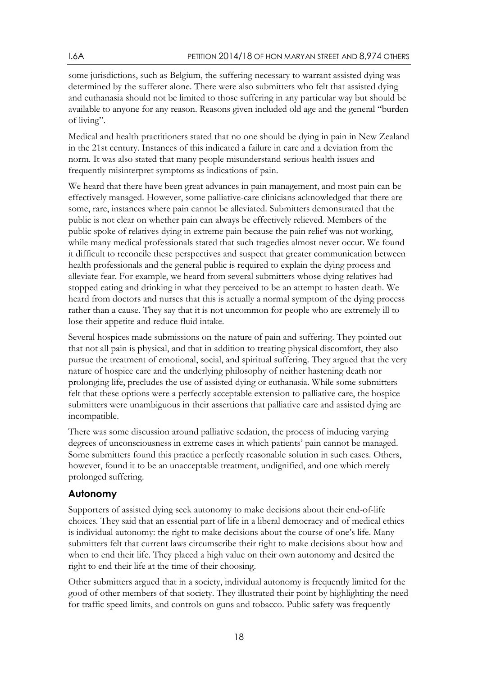some jurisdictions, such as Belgium, the suffering necessary to warrant assisted dying was determined by the sufferer alone. There were also submitters who felt that assisted dying and euthanasia should not be limited to those suffering in any particular way but should be available to anyone for any reason. Reasons given included old age and the general "burden of living".

Medical and health practitioners stated that no one should be dying in pain in New Zealand in the 21st century. Instances of this indicated a failure in care and a deviation from the norm. It was also stated that many people misunderstand serious health issues and frequently misinterpret symptoms as indications of pain.

We heard that there have been great advances in pain management, and most pain can be effectively managed. However, some palliative-care clinicians acknowledged that there are some, rare, instances where pain cannot be alleviated. Submitters demonstrated that the public is not clear on whether pain can always be effectively relieved. Members of the public spoke of relatives dying in extreme pain because the pain relief was not working, while many medical professionals stated that such tragedies almost never occur. We found it difficult to reconcile these perspectives and suspect that greater communication between health professionals and the general public is required to explain the dying process and alleviate fear. For example, we heard from several submitters whose dying relatives had stopped eating and drinking in what they perceived to be an attempt to hasten death. We heard from doctors and nurses that this is actually a normal symptom of the dying process rather than a cause. They say that it is not uncommon for people who are extremely ill to lose their appetite and reduce fluid intake.

Several hospices made submissions on the nature of pain and suffering. They pointed out that not all pain is physical, and that in addition to treating physical discomfort, they also pursue the treatment of emotional, social, and spiritual suffering. They argued that the very nature of hospice care and the underlying philosophy of neither hastening death nor prolonging life, precludes the use of assisted dying or euthanasia. While some submitters felt that these options were a perfectly acceptable extension to palliative care, the hospice submitters were unambiguous in their assertions that palliative care and assisted dying are incompatible.

There was some discussion around palliative sedation, the process of inducing varying degrees of unconsciousness in extreme cases in which patients' pain cannot be managed. Some submitters found this practice a perfectly reasonable solution in such cases. Others, however, found it to be an unacceptable treatment, undignified, and one which merely prolonged suffering.

## <span id="page-17-0"></span>**Autonomy**

Supporters of assisted dying seek autonomy to make decisions about their end-of-life choices. They said that an essential part of life in a liberal democracy and of medical ethics is individual autonomy: the right to make decisions about the course of one's life. Many submitters felt that current laws circumscribe their right to make decisions about how and when to end their life. They placed a high value on their own autonomy and desired the right to end their life at the time of their choosing.

Other submitters argued that in a society, individual autonomy is frequently limited for the good of other members of that society. They illustrated their point by highlighting the need for traffic speed limits, and controls on guns and tobacco. Public safety was frequently

18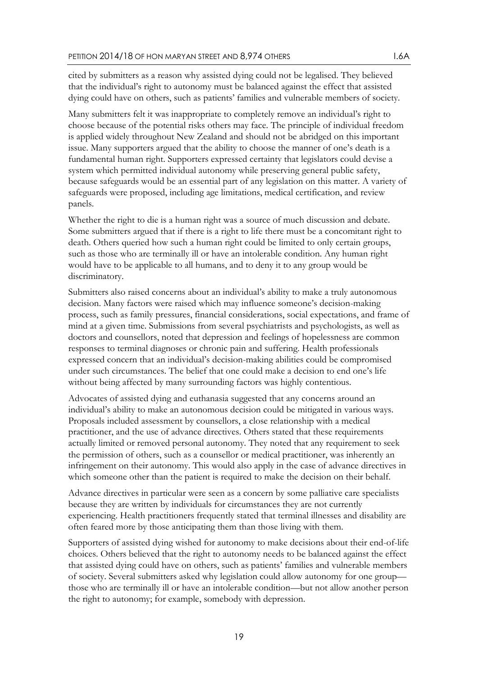cited by submitters as a reason why assisted dying could not be legalised. They believed that the individual's right to autonomy must be balanced against the effect that assisted dying could have on others, such as patients' families and vulnerable members of society.

Many submitters felt it was inappropriate to completely remove an individual's right to choose because of the potential risks others may face. The principle of individual freedom is applied widely throughout New Zealand and should not be abridged on this important issue. Many supporters argued that the ability to choose the manner of one's death is a fundamental human right. Supporters expressed certainty that legislators could devise a system which permitted individual autonomy while preserving general public safety, because safeguards would be an essential part of any legislation on this matter. A variety of safeguards were proposed, including age limitations, medical certification, and review panels.

Whether the right to die is a human right was a source of much discussion and debate. Some submitters argued that if there is a right to life there must be a concomitant right to death. Others queried how such a human right could be limited to only certain groups, such as those who are terminally ill or have an intolerable condition. Any human right would have to be applicable to all humans, and to deny it to any group would be discriminatory.

Submitters also raised concerns about an individual's ability to make a truly autonomous decision. Many factors were raised which may influence someone's decision-making process, such as family pressures, financial considerations, social expectations, and frame of mind at a given time. Submissions from several psychiatrists and psychologists, as well as doctors and counsellors, noted that depression and feelings of hopelessness are common responses to terminal diagnoses or chronic pain and suffering. Health professionals expressed concern that an individual's decision-making abilities could be compromised under such circumstances. The belief that one could make a decision to end one's life without being affected by many surrounding factors was highly contentious.

Advocates of assisted dying and euthanasia suggested that any concerns around an individual's ability to make an autonomous decision could be mitigated in various ways. Proposals included assessment by counsellors, a close relationship with a medical practitioner, and the use of advance directives. Others stated that these requirements actually limited or removed personal autonomy. They noted that any requirement to seek the permission of others, such as a counsellor or medical practitioner, was inherently an infringement on their autonomy. This would also apply in the case of advance directives in which someone other than the patient is required to make the decision on their behalf.

Advance directives in particular were seen as a concern by some palliative care specialists because they are written by individuals for circumstances they are not currently experiencing. Health practitioners frequently stated that terminal illnesses and disability are often feared more by those anticipating them than those living with them.

Supporters of assisted dying wished for autonomy to make decisions about their end-of-life choices. Others believed that the right to autonomy needs to be balanced against the effect that assisted dying could have on others, such as patients' families and vulnerable members of society. Several submitters asked why legislation could allow autonomy for one group those who are terminally ill or have an intolerable condition—but not allow another person the right to autonomy; for example, somebody with depression.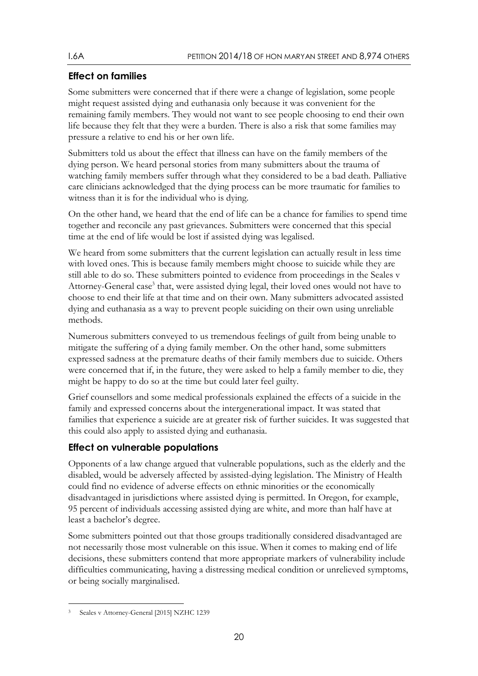# <span id="page-19-0"></span>**Effect on families**

Some submitters were concerned that if there were a change of legislation, some people might request assisted dying and euthanasia only because it was convenient for the remaining family members. They would not want to see people choosing to end their own life because they felt that they were a burden. There is also a risk that some families may pressure a relative to end his or her own life.

Submitters told us about the effect that illness can have on the family members of the dying person. We heard personal stories from many submitters about the trauma of watching family members suffer through what they considered to be a bad death. Palliative care clinicians acknowledged that the dying process can be more traumatic for families to witness than it is for the individual who is dying.

On the other hand, we heard that the end of life can be a chance for families to spend time together and reconcile any past grievances. Submitters were concerned that this special time at the end of life would be lost if assisted dying was legalised.

We heard from some submitters that the current legislation can actually result in less time with loved ones. This is because family members might choose to suicide while they are still able to do so. These submitters pointed to evidence from proceedings in the Seales v Attorney-General case<sup>3</sup> that, were assisted dying legal, their loved ones would not have to choose to end their life at that time and on their own. Many submitters advocated assisted dying and euthanasia as a way to prevent people suiciding on their own using unreliable methods.

Numerous submitters conveyed to us tremendous feelings of guilt from being unable to mitigate the suffering of a dying family member. On the other hand, some submitters expressed sadness at the premature deaths of their family members due to suicide. Others were concerned that if, in the future, they were asked to help a family member to die, they might be happy to do so at the time but could later feel guilty.

Grief counsellors and some medical professionals explained the effects of a suicide in the family and expressed concerns about the intergenerational impact. It was stated that families that experience a suicide are at greater risk of further suicides. It was suggested that this could also apply to assisted dying and euthanasia.

# <span id="page-19-1"></span>**Effect on vulnerable populations**

Opponents of a law change argued that vulnerable populations, such as the elderly and the disabled, would be adversely affected by assisted-dying legislation. The Ministry of Health could find no evidence of adverse effects on ethnic minorities or the economically disadvantaged in jurisdictions where assisted dying is permitted. In Oregon, for example, 95 percent of individuals accessing assisted dying are white, and more than half have at least a bachelor's degree.

Some submitters pointed out that those groups traditionally considered disadvantaged are not necessarily those most vulnerable on this issue. When it comes to making end of life decisions, these submitters contend that more appropriate markers of vulnerability include difficulties communicating, having a distressing medical condition or unrelieved symptoms, or being socially marginalised.

<sup>-</sup>3 Seales v Attorney-General [2015] NZHC 1239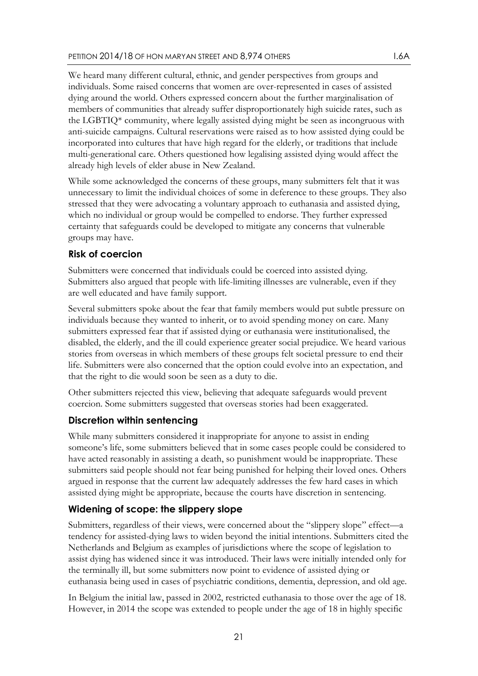We heard many different cultural, ethnic, and gender perspectives from groups and individuals. Some raised concerns that women are over-represented in cases of assisted dying around the world. Others expressed concern about the further marginalisation of members of communities that already suffer disproportionately high suicide rates, such as the LGBTIQ\* community, where legally assisted dying might be seen as incongruous with anti-suicide campaigns. Cultural reservations were raised as to how assisted dying could be incorporated into cultures that have high regard for the elderly, or traditions that include multi-generational care. Others questioned how legalising assisted dying would affect the already high levels of elder abuse in New Zealand.

While some acknowledged the concerns of these groups, many submitters felt that it was unnecessary to limit the individual choices of some in deference to these groups. They also stressed that they were advocating a voluntary approach to euthanasia and assisted dying, which no individual or group would be compelled to endorse. They further expressed certainty that safeguards could be developed to mitigate any concerns that vulnerable groups may have.

## <span id="page-20-0"></span>**Risk of coercion**

Submitters were concerned that individuals could be coerced into assisted dying. Submitters also argued that people with life-limiting illnesses are vulnerable, even if they are well educated and have family support.

Several submitters spoke about the fear that family members would put subtle pressure on individuals because they wanted to inherit, or to avoid spending money on care. Many submitters expressed fear that if assisted dying or euthanasia were institutionalised, the disabled, the elderly, and the ill could experience greater social prejudice. We heard various stories from overseas in which members of these groups felt societal pressure to end their life. Submitters were also concerned that the option could evolve into an expectation, and that the right to die would soon be seen as a duty to die.

Other submitters rejected this view, believing that adequate safeguards would prevent coercion. Some submitters suggested that overseas stories had been exaggerated.

## <span id="page-20-1"></span>**Discretion within sentencing**

While many submitters considered it inappropriate for anyone to assist in ending someone's life, some submitters believed that in some cases people could be considered to have acted reasonably in assisting a death, so punishment would be inappropriate. These submitters said people should not fear being punished for helping their loved ones. Others argued in response that the current law adequately addresses the few hard cases in which assisted dying might be appropriate, because the courts have discretion in sentencing.

# <span id="page-20-2"></span>**Widening of scope: the slippery slope**

Submitters, regardless of their views, were concerned about the "slippery slope" effect—a tendency for assisted-dying laws to widen beyond the initial intentions. Submitters cited the Netherlands and Belgium as examples of jurisdictions where the scope of legislation to assist dying has widened since it was introduced. Their laws were initially intended only for the terminally ill, but some submitters now point to evidence of assisted dying or euthanasia being used in cases of psychiatric conditions, dementia, depression, and old age.

In Belgium the initial law, passed in 2002, restricted euthanasia to those over the age of 18. However, in 2014 the scope was extended to people under the age of 18 in highly specific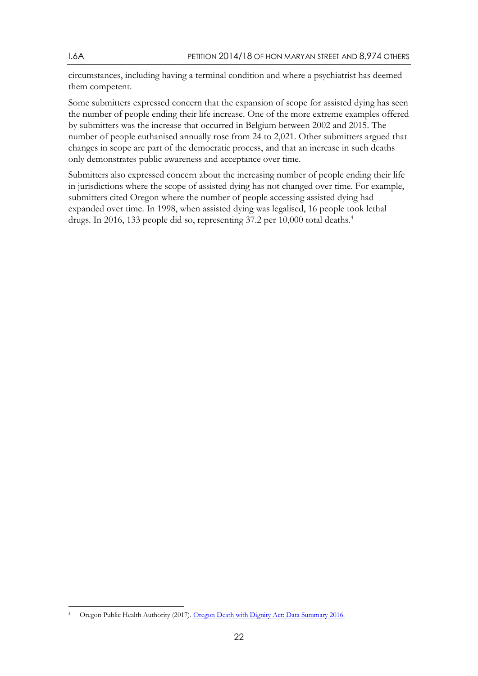circumstances, including having a terminal condition and where a psychiatrist has deemed them competent.

Some submitters expressed concern that the expansion of scope for assisted dying has seen the number of people ending their life increase. One of the more extreme examples offered by submitters was the increase that occurred in Belgium between 2002 and 2015. The number of people euthanised annually rose from 24 to 2,021. Other submitters argued that changes in scope are part of the democratic process, and that an increase in such deaths only demonstrates public awareness and acceptance over time.

Submitters also expressed concern about the increasing number of people ending their life in jurisdictions where the scope of assisted dying has not changed over time. For example, submitters cited Oregon where the number of people accessing assisted dying had expanded over time. In 1998, when assisted dying was legalised, 16 people took lethal drugs. In 2016, 133 people did so, representing 37.2 per 10,000 total deaths.<sup>4</sup>

<sup>-</sup>4 Oregon Public Health Authority (2017). [Oregon Death with Dignity Act: Data Summary 2016.](http://bit.ly/2v9CAjl)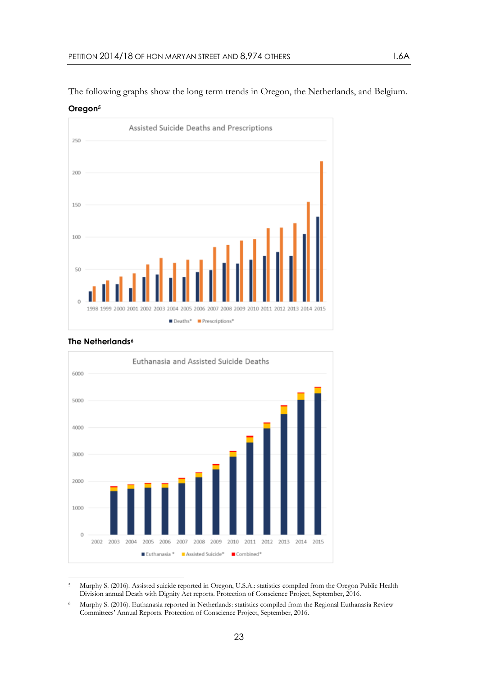The following graphs show the long term trends in Oregon, the Netherlands, and Belgium.



**Oregon<sup>5</sup>**

## **The Netherlands<sup>6</sup>**



<sup>-</sup><sup>5</sup> Murphy S. (2016). Assisted suicide reported in Oregon, U.S.A.: statistics compiled from the Oregon Public Health Division annual Death with Dignity Act reports. Protection of Conscience Project, September, 2016.

<sup>6</sup> Murphy S. (2016). Euthanasia reported in Netherlands: statistics compiled from the Regional Euthanasia Review Committees' Annual Reports. Protection of Conscience Project, September, 2016.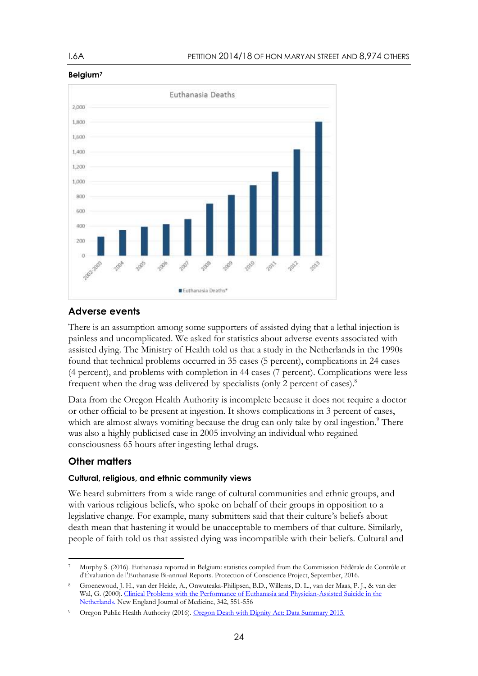

### **Belgium<sup>7</sup>**

## <span id="page-23-0"></span>**Adverse events**

There is an assumption among some supporters of assisted dying that a lethal injection is painless and uncomplicated. We asked for statistics about adverse events associated with assisted dying. The Ministry of Health told us that a study in the Netherlands in the 1990s found that technical problems occurred in 35 cases (5 percent), complications in 24 cases (4 percent), and problems with completion in 44 cases (7 percent). Complications were less frequent when the drug was delivered by specialists (only 2 percent of cases).<sup>8</sup>

Data from the Oregon Health Authority is incomplete because it does not require a doctor or other official to be present at ingestion. It shows complications in 3 percent of cases, which are almost always vomiting because the drug can only take by oral ingestion.<sup>9</sup> There was also a highly publicised case in 2005 involving an individual who regained consciousness 65 hours after ingesting lethal drugs.

# <span id="page-23-1"></span>**Other matters**

### **Cultural, religious, and ethnic community views**

We heard submitters from a wide range of cultural communities and ethnic groups, and with various religious beliefs, who spoke on behalf of their groups in opposition to a legislative change. For example, many submitters said that their culture's beliefs about death mean that hastening it would be unacceptable to members of that culture. Similarly, people of faith told us that assisted dying was incompatible with their beliefs. Cultural and

<sup>-</sup><sup>7</sup> Murphy S. (2016). Euthanasia reported in Belgium: statistics compiled from the Commission Fédérale de Contrôle et d'Évaluation de l'Euthanasie Bi-annual Reports. Protection of Conscience Project, September, 2016.

<sup>8</sup> Groenewoud, J. H., van der Heide, A., Onwuteaka-Philipsen, B.D., Willems, D. L., van der Maas, P. J., & van der Wal, G. (2000). Clinical Problems with the Performance of Euthanasia and Physician-Assisted Suicide in the [Netherlands.](http://bit.ly/1O7wjo7) New England Journal of Medicine, 342, 551-556

Oregon Public Health Authority (2016). [Oregon Death with Dignity Act: Data Summary 2015.](http://www.oregon.gov/oha/PH/PROVIDERPARTNERRESOURCES/EVALUATIONRESEARCH/DEATHWITHDIGNITYACT/Pages/ar-index.aspx)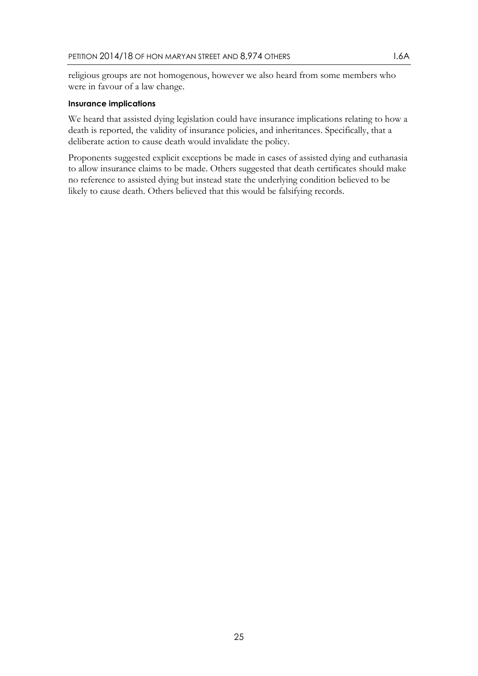religious groups are not homogenous, however we also heard from some members who were in favour of a law change.

#### **Insurance implications**

We heard that assisted dying legislation could have insurance implications relating to how a death is reported, the validity of insurance policies, and inheritances. Specifically, that a deliberate action to cause death would invalidate the policy.

Proponents suggested explicit exceptions be made in cases of assisted dying and euthanasia to allow insurance claims to be made. Others suggested that death certificates should make no reference to assisted dying but instead state the underlying condition believed to be likely to cause death. Others believed that this would be falsifying records.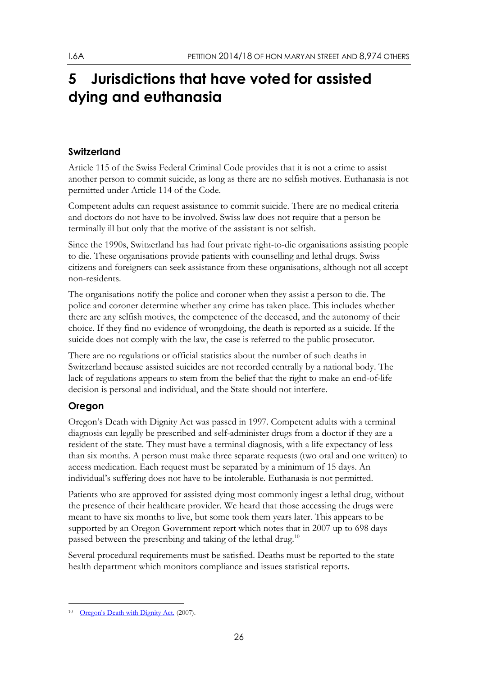# <span id="page-25-0"></span>**5 Jurisdictions that have voted for assisted dying and euthanasia**

# <span id="page-25-1"></span>**Switzerland**

Article 115 of the Swiss Federal Criminal Code provides that it is not a crime to assist another person to commit suicide, as long as there are no selfish motives. Euthanasia is not permitted under Article 114 of the Code.

Competent adults can request assistance to commit suicide. There are no medical criteria and doctors do not have to be involved. Swiss law does not require that a person be terminally ill but only that the motive of the assistant is not selfish.

Since the 1990s, Switzerland has had four private right-to-die organisations assisting people to die. These organisations provide patients with counselling and lethal drugs. Swiss citizens and foreigners can seek assistance from these organisations, although not all accept non-residents.

The organisations notify the police and coroner when they assist a person to die. The police and coroner determine whether any crime has taken place. This includes whether there are any selfish motives, the competence of the deceased, and the autonomy of their choice. If they find no evidence of wrongdoing, the death is reported as a suicide. If the suicide does not comply with the law, the case is referred to the public prosecutor.

There are no regulations or official statistics about the number of such deaths in Switzerland because assisted suicides are not recorded centrally by a national body. The lack of regulations appears to stem from the belief that the right to make an end-of-life decision is personal and individual, and the State should not interfere.

# <span id="page-25-2"></span>**Oregon**

Oregon's Death with Dignity Act was passed in 1997. Competent adults with a terminal diagnosis can legally be prescribed and self-administer drugs from a doctor if they are a resident of the state. They must have a terminal diagnosis, with a life expectancy of less than six months. A person must make three separate requests (two oral and one written) to access medication. Each request must be separated by a minimum of 15 days. An individual's suffering does not have to be intolerable. Euthanasia is not permitted.

Patients who are approved for assisted dying most commonly ingest a lethal drug, without the presence of their healthcare provider. We heard that those accessing the drugs were meant to have six months to live, but some took them years later. This appears to be supported by an Oregon Government report which notes that in 2007 up to 698 days passed between the prescribing and taking of the lethal drug.<sup>10</sup>

Several procedural requirements must be satisfied. Deaths must be reported to the state health department which monitors compliance and issues statistical reports.

<sup>-</sup><sup>10</sup> [Oregon's Death with Dignity Act. \(](http://bit.ly/2hiyH63)2007).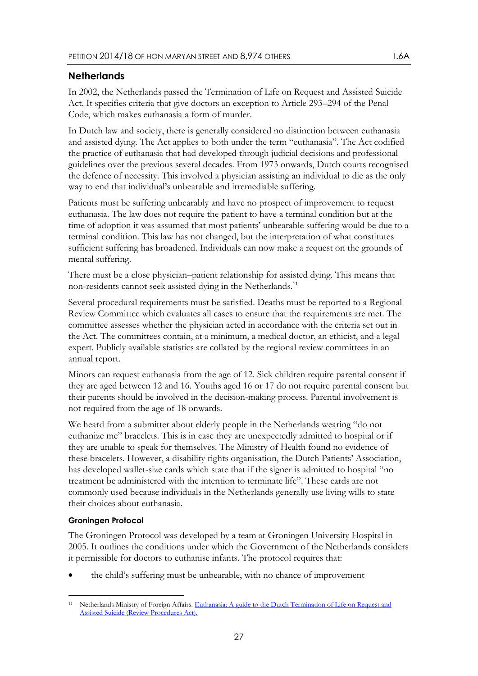## <span id="page-26-0"></span>**Netherlands**

In 2002, the Netherlands passed the Termination of Life on Request and Assisted Suicide Act. It specifies criteria that give doctors an exception to Article 293–294 of the Penal Code, which makes euthanasia a form of murder.

In Dutch law and society, there is generally considered no distinction between euthanasia and assisted dying. The Act applies to both under the term "euthanasia". The Act codified the practice of euthanasia that had developed through judicial decisions and professional guidelines over the previous several decades. From 1973 onwards, Dutch courts recognised the defence of necessity. This involved a physician assisting an individual to die as the only way to end that individual's unbearable and irremediable suffering.

Patients must be suffering unbearably and have no prospect of improvement to request euthanasia. The law does not require the patient to have a terminal condition but at the time of adoption it was assumed that most patients' unbearable suffering would be due to a terminal condition. This law has not changed, but the interpretation of what constitutes sufficient suffering has broadened. Individuals can now make a request on the grounds of mental suffering.

There must be a close physician–patient relationship for assisted dying. This means that non-residents cannot seek assisted dying in the Netherlands.<sup>11</sup>

Several procedural requirements must be satisfied. Deaths must be reported to a Regional Review Committee which evaluates all cases to ensure that the requirements are met. The committee assesses whether the physician acted in accordance with the criteria set out in the Act. The committees contain, at a minimum, a medical doctor, an ethicist, and a legal expert. Publicly available statistics are collated by the regional review committees in an annual report.

Minors can request euthanasia from the age of 12. Sick children require parental consent if they are aged between 12 and 16. Youths aged 16 or 17 do not require parental consent but their parents should be involved in the decision-making process. Parental involvement is not required from the age of 18 onwards.

We heard from a submitter about elderly people in the Netherlands wearing "do not euthanize me" bracelets. This is in case they are unexpectedly admitted to hospital or if they are unable to speak for themselves. The Ministry of Health found no evidence of these bracelets. However, a disability rights organisation, the Dutch Patients' Association, has developed wallet-size cards which state that if the signer is admitted to hospital "no treatment be administered with the intention to terminate life". These cards are not commonly used because individuals in the Netherlands generally use living wills to state their choices about euthanasia.

#### **Groningen Protocol**

The Groningen Protocol was developed by a team at Groningen University Hospital in 2005. It outlines the conditions under which the Government of the Netherlands considers it permissible for doctors to euthanise infants. The protocol requires that:

the child's suffering must be unbearable, with no chance of improvement

<sup>-</sup><sup>11</sup> Netherlands Ministry of Foreign Affairs. Euthanasia: A guide to the Dutch Termination of Life on Request and [Assisted Suicide \(Review Procedures Act\).](http://bit.ly/2tZ6AyM)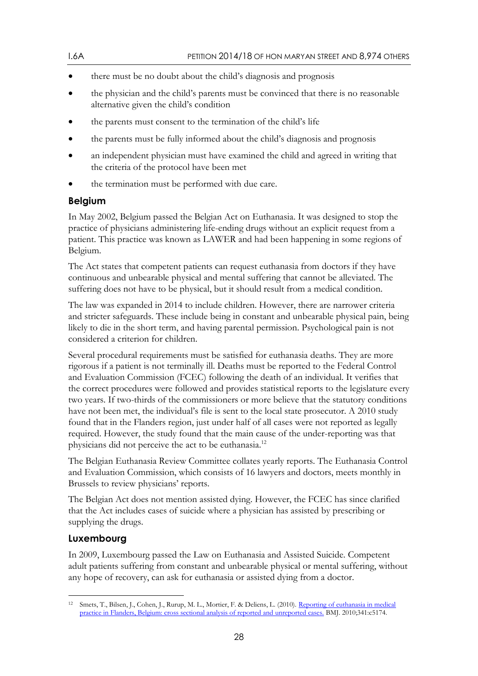- there must be no doubt about the child's diagnosis and prognosis
- the physician and the child's parents must be convinced that there is no reasonable alternative given the child's condition
- the parents must consent to the termination of the child's life
- the parents must be fully informed about the child's diagnosis and prognosis
- an independent physician must have examined the child and agreed in writing that the criteria of the protocol have been met
- the termination must be performed with due care.

## <span id="page-27-0"></span>**Belgium**

In May 2002, Belgium passed the Belgian Act on Euthanasia. It was designed to stop the practice of physicians administering life-ending drugs without an explicit request from a patient. This practice was known as LAWER and had been happening in some regions of Belgium.

The Act states that competent patients can request euthanasia from doctors if they have continuous and unbearable physical and mental suffering that cannot be alleviated. The suffering does not have to be physical, but it should result from a medical condition.

The law was expanded in 2014 to include children. However, there are narrower criteria and stricter safeguards. These include being in constant and unbearable physical pain, being likely to die in the short term, and having parental permission. Psychological pain is not considered a criterion for children.

Several procedural requirements must be satisfied for euthanasia deaths. They are more rigorous if a patient is not terminally ill. Deaths must be reported to the Federal Control and Evaluation Commission (FCEC) following the death of an individual. It verifies that the correct procedures were followed and provides statistical reports to the legislature every two years. If two-thirds of the commissioners or more believe that the statutory conditions have not been met, the individual's file is sent to the local state prosecutor. A 2010 study found that in the Flanders region, just under half of all cases were not reported as legally required. However, the study found that the main cause of the under-reporting was that physicians did not perceive the act to be euthanasia.<sup>12</sup>

The Belgian Euthanasia Review Committee collates yearly reports. The Euthanasia Control and Evaluation Commission, which consists of 16 lawyers and doctors, meets monthly in Brussels to review physicians' reports.

The Belgian Act does not mention assisted dying. However, the FCEC has since clarified that the Act includes cases of suicide where a physician has assisted by prescribing or supplying the drugs.

## <span id="page-27-1"></span>**Luxembourg**

In 2009, Luxembourg passed the Law on Euthanasia and Assisted Suicide. Competent adult patients suffering from constant and unbearable physical or mental suffering, without any hope of recovery, can ask for euthanasia or assisted dying from a doctor.

<sup>-</sup><sup>12</sup> Smets, T., Bilsen, J., Cohen, J., Rurup, M. L., Mortier, F. & Deliens, L. (2010). Reporting of euthanasia in medical [practice in Flanders, Belgium: cross sectional analysis of reported and unreported cases. B](http://bit.ly/2vnRR0i)MJ. 2010;341:c5174.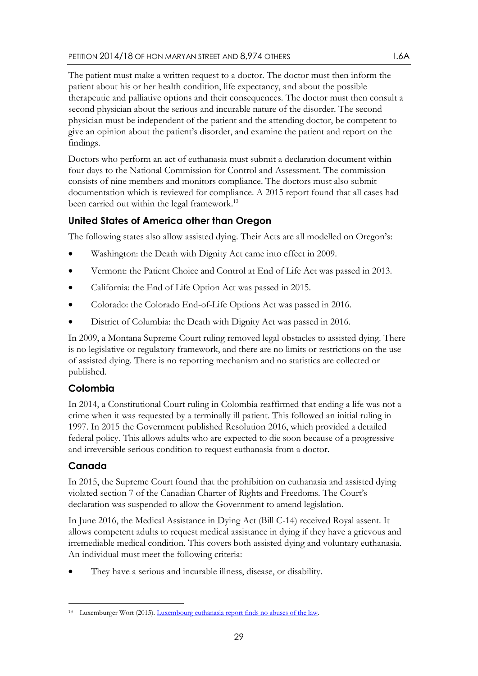The patient must make a written request to a doctor. The doctor must then inform the patient about his or her health condition, life expectancy, and about the possible therapeutic and palliative options and their consequences. The doctor must then consult a second physician about the serious and incurable nature of the disorder. The second physician must be independent of the patient and the attending doctor, be competent to give an opinion about the patient's disorder, and examine the patient and report on the findings.

Doctors who perform an act of euthanasia must submit a declaration document within four days to the National Commission for Control and Assessment. The commission consists of nine members and monitors compliance. The doctors must also submit documentation which is reviewed for compliance. A 2015 report found that all cases had been carried out within the legal framework.<sup>13</sup>

# <span id="page-28-0"></span>**United States of America other than Oregon**

The following states also allow assisted dying. Their Acts are all modelled on Oregon's:

- Washington: the Death with Dignity Act came into effect in 2009.
- Vermont: the Patient Choice and Control at End of Life Act was passed in 2013.
- California: the End of Life Option Act was passed in 2015.
- Colorado: the Colorado End-of-Life Options Act was passed in 2016.
- District of Columbia: the Death with Dignity Act was passed in 2016.

In 2009, a Montana Supreme Court ruling removed legal obstacles to assisted dying. There is no legislative or regulatory framework, and there are no limits or restrictions on the use of assisted dying. There is no reporting mechanism and no statistics are collected or published.

# <span id="page-28-1"></span>**Colombia**

In 2014, a Constitutional Court ruling in Colombia reaffirmed that ending a life was not a crime when it was requested by a terminally ill patient. This followed an initial ruling in 1997. In 2015 the Government published Resolution 2016, which provided a detailed federal policy. This allows adults who are expected to die soon because of a progressive and irreversible serious condition to request euthanasia from a doctor.

# <span id="page-28-2"></span>**Canada**

In 2015, the Supreme Court found that the prohibition on euthanasia and assisted dying violated section 7 of the Canadian Charter of Rights and Freedoms. The Court's declaration was suspended to allow the Government to amend legislation.

In June 2016, the Medical Assistance in Dying Act (Bill C-14) received Royal assent. It allows competent adults to request medical assistance in dying if they have a grievous and irremediable medical condition. This covers both assisted dying and voluntary euthanasia. An individual must meet the following criteria:

They have a serious and incurable illness, disease, or disability.

<sup>-</sup><sup>13</sup> Luxemburger Wort (2015). Luxembourg euthanasia report finds no abuses of the law.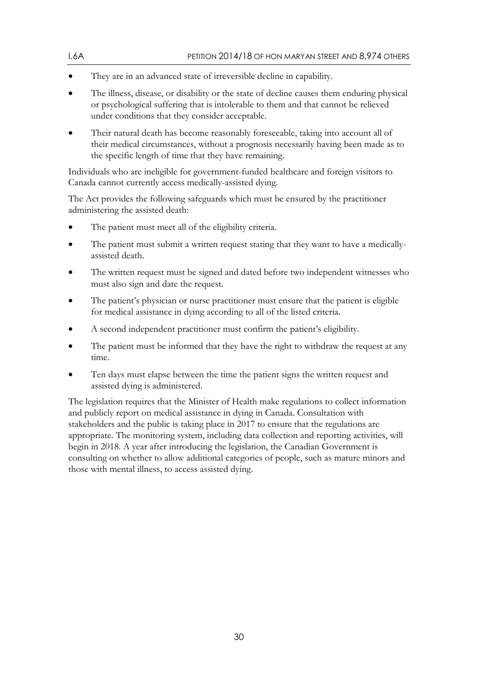- They are in an advanced state of irreversible decline in capability.
- The illness, disease, or disability or the state of decline causes them enduring physical or psychological suffering that is intolerable to them and that cannot be relieved under conditions that they consider acceptable.
- Their natural death has become reasonably foreseeable, taking into account all of their medical circumstances, without a prognosis necessarily having been made as to the specific length of time that they have remaining.

Individuals who are ineligible for government-funded healthcare and foreign visitors to Canada cannot currently access medically-assisted dying.

The Act provides the following safeguards which must be ensured by the practitioner administering the assisted death:

- The patient must meet all of the eligibility criteria.
- The patient must submit a written request stating that they want to have a medicallyassisted death.
- The written request must be signed and dated before two independent witnesses who must also sign and date the request.
- The patient's physician or nurse practitioner must ensure that the patient is eligible for medical assistance in dying according to all of the listed criteria.
- A second independent practitioner must confirm the patient's eligibility.
- The patient must be informed that they have the right to withdraw the request at any time.
- Ten days must elapse between the time the patient signs the written request and assisted dying is administered.

The legislation requires that the Minister of Health make regulations to collect information and publicly report on medical assistance in dying in Canada. Consultation with stakeholders and the public is taking place in 2017 to ensure that the regulations are appropriate. The monitoring system, including data collection and reporting activities, will begin in 2018. A year after introducing the legislation, the Canadian Government is consulting on whether to allow additional categories of people, such as mature minors and those with mental illness, to access assisted dying.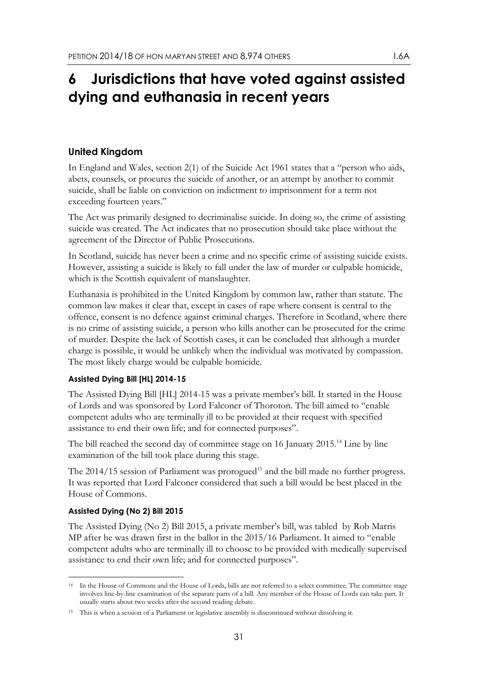# <span id="page-30-0"></span>**6 Jurisdictions that have voted against assisted dying and euthanasia in recent years**

## <span id="page-30-1"></span>**United Kingdom**

In England and Wales, section 2(1) of the Suicide Act 1961 states that a "person who aids, abets, counsels, or procures the suicide of another, or an attempt by another to commit suicide, shall be liable on conviction on indictment to imprisonment for a term not exceeding fourteen years."

The Act was primarily designed to decriminalise suicide. In doing so, the crime of assisting suicide was created. The Act indicates that no prosecution should take place without the agreement of the Director of Public Prosecutions.

In Scotland, suicide has never been a crime and no specific crime of assisting suicide exists. However, assisting a suicide is likely to fall under the law of murder or culpable homicide, which is the Scottish equivalent of manslaughter.

Euthanasia is prohibited in the United Kingdom by common law, rather than statute. The common law makes it clear that, except in cases of rape where consent is central to the offence, consent is no defence against criminal charges. Therefore in Scotland, where there is no crime of assisting suicide, a person who kills another can be prosecuted for the crime of murder. Despite the lack of Scottish cases, it can be concluded that although a murder charge is possible, it would be unlikely when the individual was motivated by compassion. The most likely charge would be culpable homicide.

### **Assisted Dying Bill [HL] 2014-15**

The Assisted Dying Bill [HL] 2014-15 was a private member's bill. It started in the House of Lords and was sponsored by Lord Falconer of Thoroton. The bill aimed to "enable competent adults who are terminally ill to be provided at their request with specified assistance to end their own life; and for connected purposes".

The bill reached the second day of committee stage on 16 January 2015.<sup>14</sup> Line by line examination of the bill took place during this stage.

The 2014/15 session of Parliament was prorogued<sup>15</sup> and the bill made no further progress. It was reported that Lord Falconer considered that such a bill would be best placed in the House of Commons.

### **Assisted Dying (No 2) Bill 2015**

The Assisted Dying (No 2) Bill 2015, a private member's bill, was tabled by Rob Marris MP after he was drawn first in the ballot in the 2015/16 Parliament. It aimed to "enable competent adults who are terminally ill to choose to be provided with medically supervised assistance to end their own life; and for connected purposes".

<sup>-</sup><sup>14</sup> In the House of Commons and the House of Lords, bills are not referred to a select committee. The committee stage involves line-by-line examination of the separate parts of a bill. Any member of the House of Lords can take part. It usually starts about two weeks after the second reading debate.

<sup>&</sup>lt;sup>15</sup> This is when a session of a Parliament or legislative assembly is discontinued without dissolving it.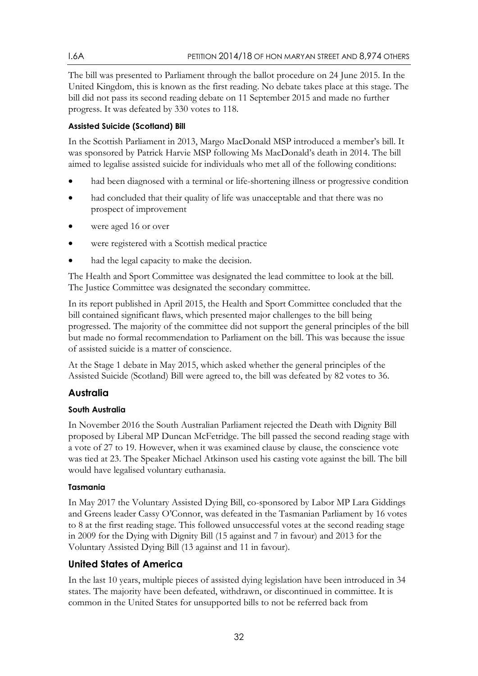The bill was presented to Parliament through the ballot procedure on 24 June 2015. In the United Kingdom, this is known as the first reading. No debate takes place at this stage. The bill did not pass its second reading debate on 11 September 2015 and made no further progress. It was defeated by 330 votes to 118.

## **Assisted Suicide (Scotland) Bill**

In the Scottish Parliament in 2013, Margo MacDonald MSP introduced a member's bill. It was sponsored by Patrick Harvie MSP following Ms MacDonald's death in 2014. The bill aimed to legalise assisted suicide for individuals who met all of the following conditions:

- had been diagnosed with a terminal or life-shortening illness or progressive condition
- had concluded that their quality of life was unacceptable and that there was no prospect of improvement
- were aged 16 or over
- were registered with a Scottish medical practice
- had the legal capacity to make the decision.

The Health and Sport Committee was designated the lead committee to look at the bill. The Justice Committee was designated the secondary committee.

In its report published in April 2015, the Health and Sport Committee concluded that the bill contained significant flaws, which presented major challenges to the bill being progressed. The majority of the committee did not support the general principles of the bill but made no formal recommendation to Parliament on the bill. This was because the issue of assisted suicide is a matter of conscience.

At the Stage 1 debate in May 2015, which asked whether the general principles of the Assisted Suicide (Scotland) Bill were agreed to, the bill was defeated by 82 votes to 36.

# <span id="page-31-0"></span>**Australia**

## **South Australia**

In November 2016 the South Australian Parliament rejected the Death with Dignity Bill proposed by Liberal MP Duncan McFetridge. The bill passed the second reading stage with a vote of 27 to 19. However, when it was examined clause by clause, the conscience vote was tied at 23. The Speaker Michael Atkinson used his casting vote against the bill. The bill would have legalised voluntary euthanasia.

## **Tasmania**

In May 2017 the Voluntary Assisted Dying Bill, co-sponsored by Labor MP Lara Giddings and Greens leader Cassy O'Connor, was defeated in the Tasmanian Parliament by 16 votes to 8 at the first reading stage. This followed unsuccessful votes at the second reading stage in 2009 for the Dying with Dignity Bill (15 against and 7 in favour) and 2013 for the Voluntary Assisted Dying Bill (13 against and 11 in favour).

# <span id="page-31-1"></span>**United States of America**

In the last 10 years, multiple pieces of assisted dying legislation have been introduced in 34 states. The majority have been defeated, withdrawn, or discontinued in committee. It is common in the United States for unsupported bills to not be referred back from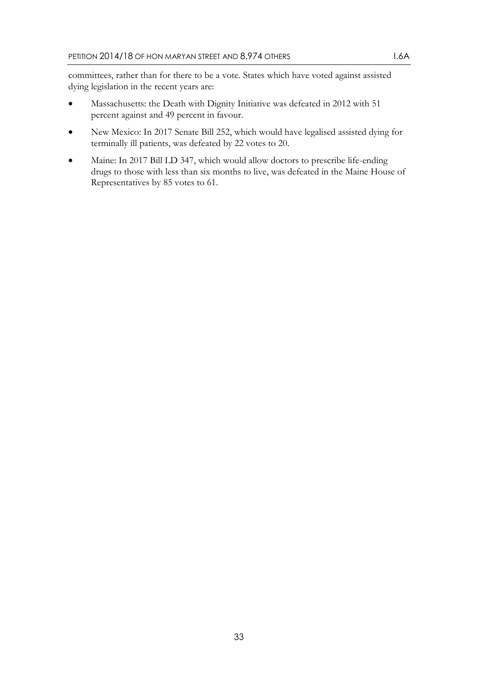committees, rather than for there to be a vote. States which have voted against assisted dying legislation in the recent years are:

- Massachusetts: the Death with Dignity Initiative was defeated in 2012 with 51 percent against and 49 percent in favour.
- New Mexico: In 2017 Senate Bill 252, which would have legalised assisted dying for terminally ill patients, was defeated by 22 votes to 20.
- Maine: In 2017 Bill LD 347, which would allow doctors to prescribe life-ending drugs to those with less than six months to live, was defeated in the Maine House of Representatives by 85 votes to 61.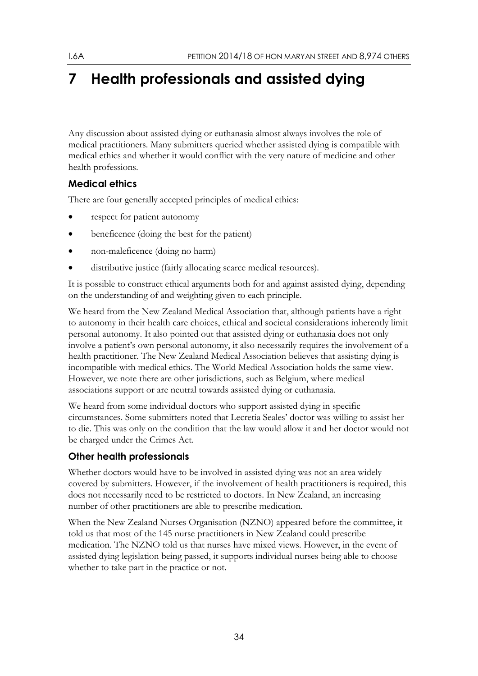# <span id="page-33-0"></span>**7 Health professionals and assisted dying**

Any discussion about assisted dying or euthanasia almost always involves the role of medical practitioners. Many submitters queried whether assisted dying is compatible with medical ethics and whether it would conflict with the very nature of medicine and other health professions.

# <span id="page-33-1"></span>**Medical ethics**

There are four generally accepted principles of medical ethics:

- respect for patient autonomy
- beneficence (doing the best for the patient)
- non-maleficence (doing no harm)
- distributive justice (fairly allocating scarce medical resources).

It is possible to construct ethical arguments both for and against assisted dying, depending on the understanding of and weighting given to each principle.

We heard from the New Zealand Medical Association that, although patients have a right to autonomy in their health care choices, ethical and societal considerations inherently limit personal autonomy. It also pointed out that assisted dying or euthanasia does not only involve a patient's own personal autonomy, it also necessarily requires the involvement of a health practitioner. The New Zealand Medical Association believes that assisting dying is incompatible with medical ethics. The World Medical Association holds the same view. However, we note there are other jurisdictions, such as Belgium, where medical associations support or are neutral towards assisted dying or euthanasia.

We heard from some individual doctors who support assisted dying in specific circumstances. Some submitters noted that Lecretia Seales' doctor was willing to assist her to die. This was only on the condition that the law would allow it and her doctor would not be charged under the Crimes Act.

# <span id="page-33-2"></span>**Other health professionals**

Whether doctors would have to be involved in assisted dying was not an area widely covered by submitters. However, if the involvement of health practitioners is required, this does not necessarily need to be restricted to doctors. In New Zealand, an increasing number of other practitioners are able to prescribe medication.

When the New Zealand Nurses Organisation (NZNO) appeared before the committee, it told us that most of the 145 nurse practitioners in New Zealand could prescribe medication. The NZNO told us that nurses have mixed views. However, in the event of assisted dying legislation being passed, it supports individual nurses being able to choose whether to take part in the practice or not.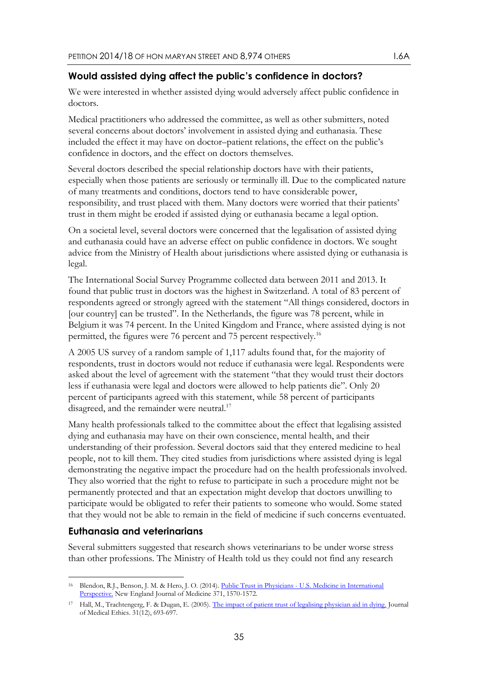### <span id="page-34-0"></span>**Would assisted dying affect the public's confidence in doctors?**

We were interested in whether assisted dying would adversely affect public confidence in doctors.

Medical practitioners who addressed the committee, as well as other submitters, noted several concerns about doctors' involvement in assisted dying and euthanasia. These included the effect it may have on doctor–patient relations, the effect on the public's confidence in doctors, and the effect on doctors themselves.

Several doctors described the special relationship doctors have with their patients, especially when those patients are seriously or terminally ill. Due to the complicated nature of many treatments and conditions, doctors tend to have considerable power, responsibility, and trust placed with them. Many doctors were worried that their patients' trust in them might be eroded if assisted dying or euthanasia became a legal option.

On a societal level, several doctors were concerned that the legalisation of assisted dying and euthanasia could have an adverse effect on public confidence in doctors. We sought advice from the Ministry of Health about jurisdictions where assisted dying or euthanasia is legal.

The International Social Survey Programme collected data between 2011 and 2013. It found that public trust in doctors was the highest in Switzerland. A total of 83 percent of respondents agreed or strongly agreed with the statement "All things considered, doctors in [our country] can be trusted". In the Netherlands, the figure was 78 percent, while in Belgium it was 74 percent. In the United Kingdom and France, where assisted dying is not permitted, the figures were 76 percent and 75 percent respectively.<sup>16</sup>

A 2005 US survey of a random sample of 1,117 adults found that, for the majority of respondents, trust in doctors would not reduce if euthanasia were legal. Respondents were asked about the level of agreement with the statement "that they would trust their doctors less if euthanasia were legal and doctors were allowed to help patients die". Only 20 percent of participants agreed with this statement, while 58 percent of participants disagreed, and the remainder were neutral.<sup>17</sup>

Many health professionals talked to the committee about the effect that legalising assisted dying and euthanasia may have on their own conscience, mental health, and their understanding of their profession. Several doctors said that they entered medicine to heal people, not to kill them. They cited studies from jurisdictions where assisted dying is legal demonstrating the negative impact the procedure had on the health professionals involved. They also worried that the right to refuse to participate in such a procedure might not be permanently protected and that an expectation might develop that doctors unwilling to participate would be obligated to refer their patients to someone who would. Some stated that they would not be able to remain in the field of medicine if such concerns eventuated.

### <span id="page-34-1"></span>**Euthanasia and veterinarians**

Several submitters suggested that research shows veterinarians to be under worse stress than other professions. The Ministry of Health told us they could not find any research

<sup>-</sup><sup>16</sup> Blendon, R.J., Benson, J. M. & Hero, J. O. (2014). Public Trust in Physicians - U.S. Medicine in International [Perspective.](http://bit.ly/2ueWsgF) New England Journal of Medicine 371, 1570-1572.

<sup>&</sup>lt;sup>17</sup> Hall, M., Trachtengerg, F. & Dugan, E. (2005)[. The impact of patient trust of legalising physician aid in dying.](http://bit.ly/2vg1e21) Journal of Medical Ethics. 31(12), 693-697.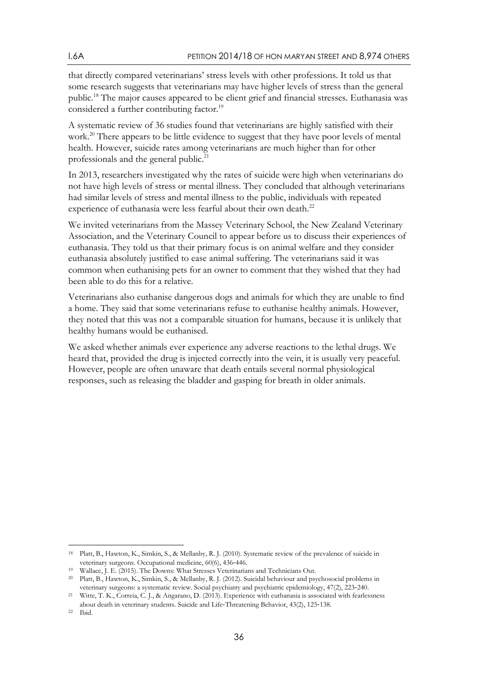that directly compared veterinarians' stress levels with other professions. It told us that some research suggests that veterinarians may have higher levels of stress than the general public.<sup>18</sup> The major causes appeared to be client grief and financial stresses. Euthanasia was considered a further contributing factor.<sup>19</sup>

A systematic review of 36 studies found that veterinarians are highly satisfied with their work.<sup>20</sup> There appears to be little evidence to suggest that they have poor levels of mental health. However, suicide rates among veterinarians are much higher than for other professionals and the general public.<sup>21</sup>

In 2013, researchers investigated why the rates of suicide were high when veterinarians do not have high levels of stress or mental illness. They concluded that although veterinarians had similar levels of stress and mental illness to the public, individuals with repeated experience of euthanasia were less fearful about their own death.<sup>22</sup>

We invited veterinarians from the Massey Veterinary School, the New Zealand Veterinary Association, and the Veterinary Council to appear before us to discuss their experiences of euthanasia. They told us that their primary focus is on animal welfare and they consider euthanasia absolutely justified to ease animal suffering. The veterinarians said it was common when euthanising pets for an owner to comment that they wished that they had been able to do this for a relative.

Veterinarians also euthanise dangerous dogs and animals for which they are unable to find a home. They said that some veterinarians refuse to euthanise healthy animals. However, they noted that this was not a comparable situation for humans, because it is unlikely that healthy humans would be euthanised.

We asked whether animals ever experience any adverse reactions to the lethal drugs. We heard that, provided the drug is injected correctly into the vein, it is usually very peaceful. However, people are often unaware that death entails several normal physiological responses, such as releasing the bladder and gasping for breath in older animals.

-

<sup>18</sup> Platt, B., Hawton, K., Simkin, S., & Mellanby, R. J. (2010). Systematic review of the prevalence of suicide in veterinary surgeons. Occupational medicine, 60(6), 436‐446.

<sup>19</sup> Wallace, J. E. (2015). The Downs: What Stresses Veterinarians and Technicians Out.

<sup>20</sup> Platt, B., Hawton, K., Simkin, S., & Mellanby, R. J. (2012). Suicidal behaviour and psychosocial problems in veterinary surgeons: a systematic review. Social psychiatry and psychiatric epidemiology, 47(2), 223-240.<br><sup>21</sup> Witte T. K. Correia C. J. & Aportano, D. (2013). Experience with euthanosia is associated with featles

<sup>21</sup> Witte, T. K., Correia, C. J., & Angarano, D. (2013). Experience with euthanasia is associated with fearlessness about death in veterinary students. Suicide and Life-Threatening Behavior, 43(2), 125-138.<br><sup>22</sup> Ibid

<sup>22</sup> Ibid.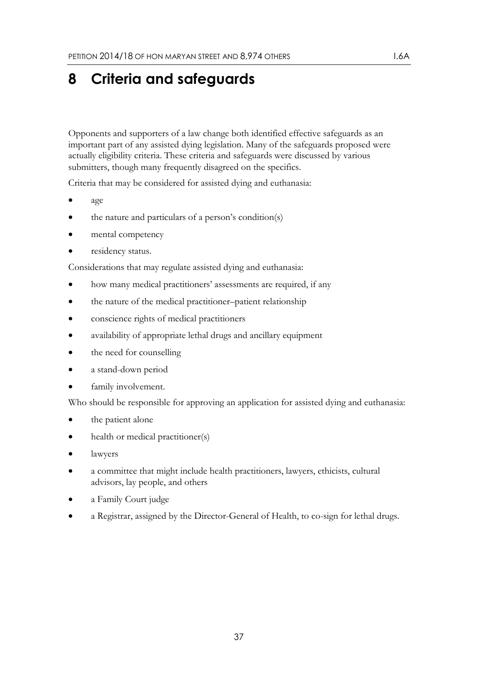# <span id="page-36-0"></span>**8 Criteria and safeguards**

Opponents and supporters of a law change both identified effective safeguards as an important part of any assisted dying legislation. Many of the safeguards proposed were actually eligibility criteria. These criteria and safeguards were discussed by various submitters, though many frequently disagreed on the specifics.

Criteria that may be considered for assisted dying and euthanasia:

- age
- the nature and particulars of a person's condition(s)
- mental competency
- residency status.

Considerations that may regulate assisted dying and euthanasia:

- how many medical practitioners' assessments are required, if any
- the nature of the medical practitioner–patient relationship
- conscience rights of medical practitioners
- availability of appropriate lethal drugs and ancillary equipment
- the need for counselling
- a stand-down period
- family involvement.

Who should be responsible for approving an application for assisted dying and euthanasia:

- the patient alone
- health or medical practitioner(s)
- lawyers
- a committee that might include health practitioners, lawyers, ethicists, cultural advisors, lay people, and others
- a Family Court judge
- a Registrar, assigned by the Director-General of Health, to co-sign for lethal drugs.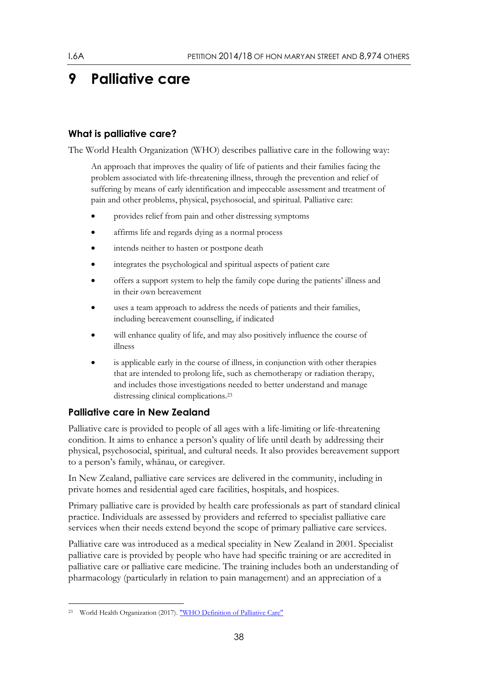# <span id="page-37-0"></span>**9 Palliative care**

## <span id="page-37-1"></span>**What is palliative care?**

The World Health Organization (WHO) describes palliative care in the following way:

An approach that improves the quality of life of patients and their families facing the problem associated with life-threatening illness, through the prevention and relief of suffering by means of early identification and impeccable assessment and treatment of pain and other problems, physical, psychosocial, and spiritual. Palliative care:

- provides relief from pain and other distressing symptoms
- affirms life and regards dying as a normal process
- intends neither to hasten or postpone death
- integrates the psychological and spiritual aspects of patient care
- offers a support system to help the family cope during the patients' illness and in their own bereavement
- uses a team approach to address the needs of patients and their families, including bereavement counselling, if indicated
- will enhance quality of life, and may also positively influence the course of illness
- is applicable early in the course of illness, in conjunction with other therapies that are intended to prolong life, such as chemotherapy or radiation therapy, and includes those investigations needed to better understand and manage distressing clinical complications.<sup>23</sup>

### <span id="page-37-2"></span>**Palliative care in New Zealand**

Palliative care is provided to people of all ages with a life-limiting or life-threatening condition. It aims to enhance a person's quality of life until death by addressing their physical, psychosocial, spiritual, and cultural needs. It also provides bereavement support to a person's family, whānau, or caregiver.

In New Zealand, palliative care services are delivered in the community, including in private homes and residential aged care facilities, hospitals, and hospices.

Primary palliative care is provided by health care professionals as part of standard clinical practice. Individuals are assessed by providers and referred to specialist palliative care services when their needs extend beyond the scope of primary palliative care services.

Palliative care was introduced as a medical speciality in New Zealand in 2001. Specialist palliative care is provided by people who have had specific training or are accredited in palliative care or palliative care medicine. The training includes both an understanding of pharmacology (particularly in relation to pain management) and an appreciation of a

<sup>-</sup>World Health Organization (2017)[. "WHO Definition of Palliative Care"](http://bit.ly/1j3ErEy)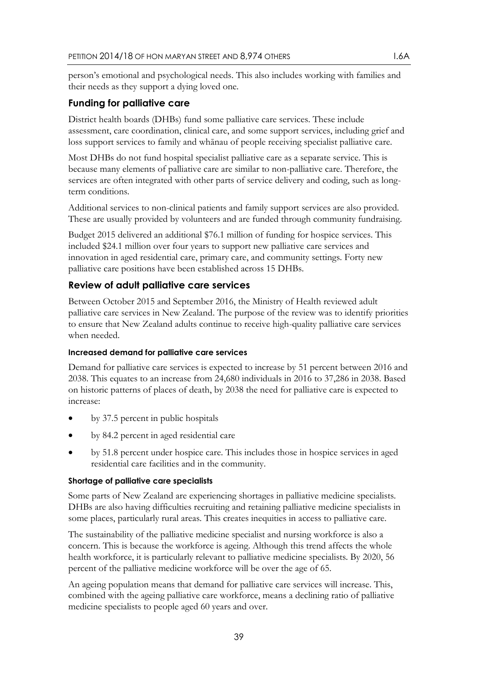person's emotional and psychological needs. This also includes working with families and their needs as they support a dying loved one.

## <span id="page-38-0"></span>**Funding for palliative care**

District health boards (DHBs) fund some palliative care services. These include assessment, care coordination, clinical care, and some support services, including grief and loss support services to family and whānau of people receiving specialist palliative care.

Most DHBs do not fund hospital specialist palliative care as a separate service. This is because many elements of palliative care are similar to non-palliative care. Therefore, the services are often integrated with other parts of service delivery and coding, such as longterm conditions.

Additional services to non-clinical patients and family support services are also provided. These are usually provided by volunteers and are funded through community fundraising.

Budget 2015 delivered an additional \$76.1 million of funding for hospice services. This included \$24.1 million over four years to support new palliative care services and innovation in aged residential care, primary care, and community settings. Forty new palliative care positions have been established across 15 DHBs.

## <span id="page-38-1"></span>**Review of adult palliative care services**

Between October 2015 and September 2016, the Ministry of Health reviewed adult palliative care services in New Zealand. The purpose of the review was to identify priorities to ensure that New Zealand adults continue to receive high-quality palliative care services when needed.

#### **Increased demand for palliative care services**

Demand for palliative care services is expected to increase by 51 percent between 2016 and 2038. This equates to an increase from 24,680 individuals in 2016 to 37,286 in 2038. Based on historic patterns of places of death, by 2038 the need for palliative care is expected to increase:

- by 37.5 percent in public hospitals
- by 84.2 percent in aged residential care
- by 51.8 percent under hospice care. This includes those in hospice services in aged residential care facilities and in the community.

#### **Shortage of palliative care specialists**

Some parts of New Zealand are experiencing shortages in palliative medicine specialists. DHBs are also having difficulties recruiting and retaining palliative medicine specialists in some places, particularly rural areas. This creates inequities in access to palliative care.

The sustainability of the palliative medicine specialist and nursing workforce is also a concern. This is because the workforce is ageing. Although this trend affects the whole health workforce, it is particularly relevant to palliative medicine specialists. By 2020, 56 percent of the palliative medicine workforce will be over the age of 65.

An ageing population means that demand for palliative care services will increase. This, combined with the ageing palliative care workforce, means a declining ratio of palliative medicine specialists to people aged 60 years and over.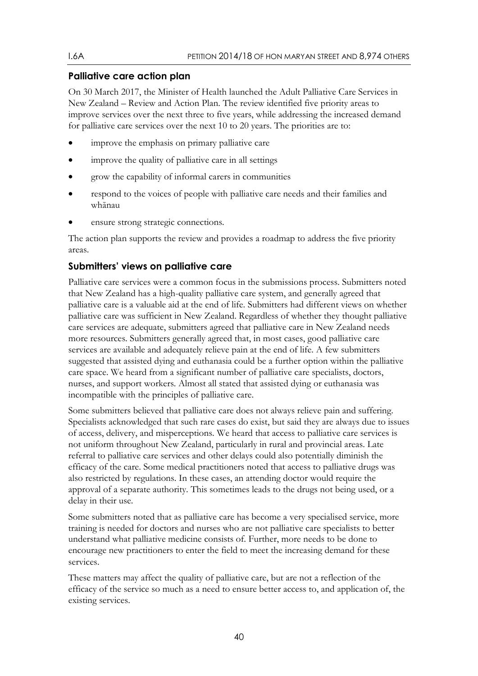## <span id="page-39-0"></span>**Palliative care action plan**

On 30 March 2017, the Minister of Health launched the Adult Palliative Care Services in New Zealand – Review and Action Plan. The review identified five priority areas to improve services over the next three to five years, while addressing the increased demand for palliative care services over the next 10 to 20 years. The priorities are to:

- improve the emphasis on primary palliative care
- improve the quality of palliative care in all settings
- grow the capability of informal carers in communities
- respond to the voices of people with palliative care needs and their families and whānau
- ensure strong strategic connections.

The action plan supports the review and provides a roadmap to address the five priority areas.

# <span id="page-39-1"></span>**Submitters' views on palliative care**

Palliative care services were a common focus in the submissions process. Submitters noted that New Zealand has a high-quality palliative care system, and generally agreed that palliative care is a valuable aid at the end of life. Submitters had different views on whether palliative care was sufficient in New Zealand. Regardless of whether they thought palliative care services are adequate, submitters agreed that palliative care in New Zealand needs more resources. Submitters generally agreed that, in most cases, good palliative care services are available and adequately relieve pain at the end of life. A few submitters suggested that assisted dying and euthanasia could be a further option within the palliative care space. We heard from a significant number of palliative care specialists, doctors, nurses, and support workers. Almost all stated that assisted dying or euthanasia was incompatible with the principles of palliative care.

Some submitters believed that palliative care does not always relieve pain and suffering. Specialists acknowledged that such rare cases do exist, but said they are always due to issues of access, delivery, and misperceptions. We heard that access to palliative care services is not uniform throughout New Zealand, particularly in rural and provincial areas. Late referral to palliative care services and other delays could also potentially diminish the efficacy of the care. Some medical practitioners noted that access to palliative drugs was also restricted by regulations. In these cases, an attending doctor would require the approval of a separate authority. This sometimes leads to the drugs not being used, or a delay in their use.

Some submitters noted that as palliative care has become a very specialised service, more training is needed for doctors and nurses who are not palliative care specialists to better understand what palliative medicine consists of. Further, more needs to be done to encourage new practitioners to enter the field to meet the increasing demand for these services.

These matters may affect the quality of palliative care, but are not a reflection of the efficacy of the service so much as a need to ensure better access to, and application of, the existing services.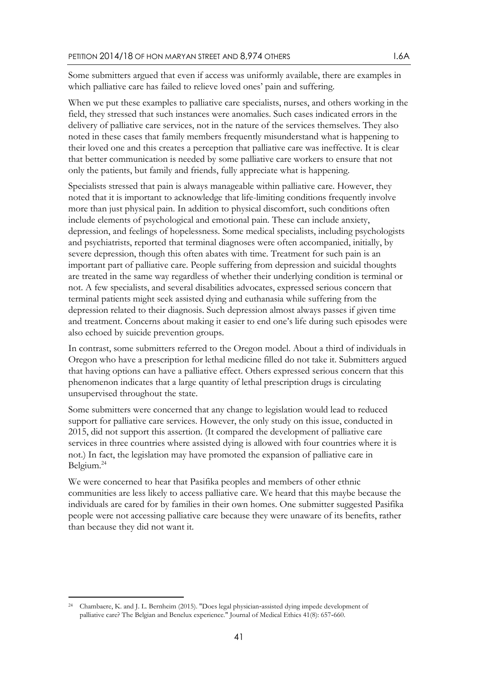Some submitters argued that even if access was uniformly available, there are examples in which palliative care has failed to relieve loved ones' pain and suffering.

When we put these examples to palliative care specialists, nurses, and others working in the field, they stressed that such instances were anomalies. Such cases indicated errors in the delivery of palliative care services, not in the nature of the services themselves. They also noted in these cases that family members frequently misunderstand what is happening to their loved one and this creates a perception that palliative care was ineffective. It is clear that better communication is needed by some palliative care workers to ensure that not only the patients, but family and friends, fully appreciate what is happening.

Specialists stressed that pain is always manageable within palliative care. However, they noted that it is important to acknowledge that life-limiting conditions frequently involve more than just physical pain. In addition to physical discomfort, such conditions often include elements of psychological and emotional pain. These can include anxiety, depression, and feelings of hopelessness. Some medical specialists, including psychologists and psychiatrists, reported that terminal diagnoses were often accompanied, initially, by severe depression, though this often abates with time. Treatment for such pain is an important part of palliative care. People suffering from depression and suicidal thoughts are treated in the same way regardless of whether their underlying condition is terminal or not. A few specialists, and several disabilities advocates, expressed serious concern that terminal patients might seek assisted dying and euthanasia while suffering from the depression related to their diagnosis. Such depression almost always passes if given time and treatment. Concerns about making it easier to end one's life during such episodes were also echoed by suicide prevention groups.

In contrast, some submitters referred to the Oregon model. About a third of individuals in Oregon who have a prescription for lethal medicine filled do not take it. Submitters argued that having options can have a palliative effect. Others expressed serious concern that this phenomenon indicates that a large quantity of lethal prescription drugs is circulating unsupervised throughout the state.

Some submitters were concerned that any change to legislation would lead to reduced support for palliative care services. However, the only study on this issue, conducted in 2015, did not support this assertion. (It compared the development of palliative care services in three countries where assisted dying is allowed with four countries where it is not.) In fact, the legislation may have promoted the expansion of palliative care in Belgium.<sup>24</sup>

We were concerned to hear that Pasifika peoples and members of other ethnic communities are less likely to access palliative care. We heard that this maybe because the individuals are cared for by families in their own homes. One submitter suggested Pasifika people were not accessing palliative care because they were unaware of its benefits, rather than because they did not want it.

-

<sup>24</sup> Chambaere, K. and J. L. Bernheim (2015). "Does legal physician‐assisted dying impede development of palliative care? The Belgian and Benelux experience." Journal of Medical Ethics 41(8): 657‐660.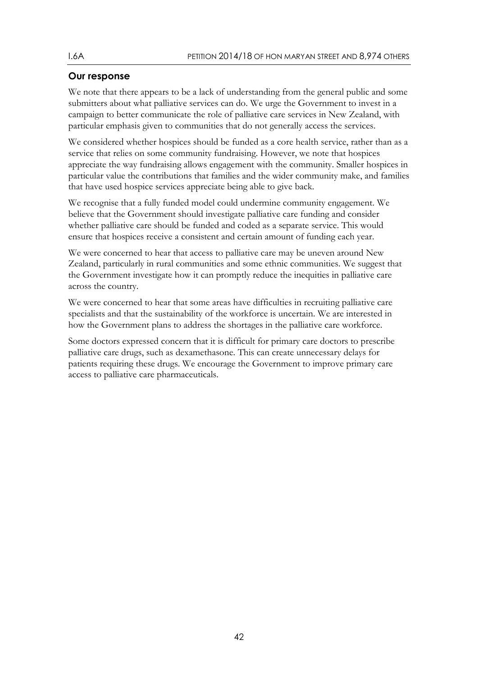## <span id="page-41-0"></span>**Our response**

We note that there appears to be a lack of understanding from the general public and some submitters about what palliative services can do. We urge the Government to invest in a campaign to better communicate the role of palliative care services in New Zealand, with particular emphasis given to communities that do not generally access the services.

We considered whether hospices should be funded as a core health service, rather than as a service that relies on some community fundraising. However, we note that hospices appreciate the way fundraising allows engagement with the community. Smaller hospices in particular value the contributions that families and the wider community make, and families that have used hospice services appreciate being able to give back.

We recognise that a fully funded model could undermine community engagement. We believe that the Government should investigate palliative care funding and consider whether palliative care should be funded and coded as a separate service. This would ensure that hospices receive a consistent and certain amount of funding each year.

We were concerned to hear that access to palliative care may be uneven around New Zealand, particularly in rural communities and some ethnic communities. We suggest that the Government investigate how it can promptly reduce the inequities in palliative care across the country.

We were concerned to hear that some areas have difficulties in recruiting palliative care specialists and that the sustainability of the workforce is uncertain. We are interested in how the Government plans to address the shortages in the palliative care workforce.

Some doctors expressed concern that it is difficult for primary care doctors to prescribe palliative care drugs, such as dexamethasone. This can create unnecessary delays for patients requiring these drugs. We encourage the Government to improve primary care access to palliative care pharmaceuticals.

42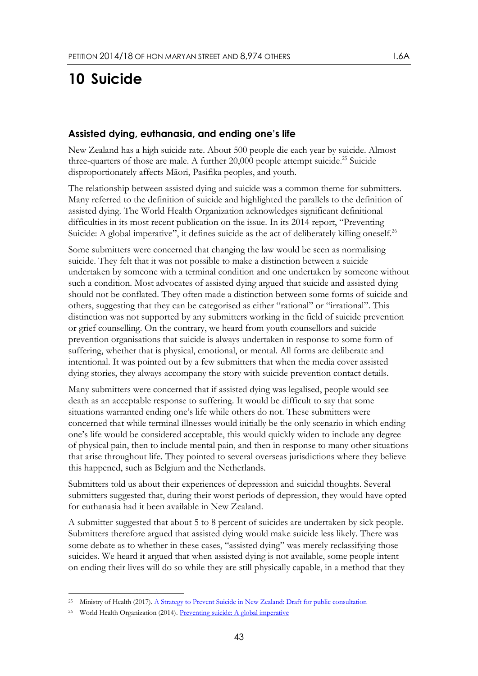# <span id="page-42-0"></span>**10 Suicide**

### <span id="page-42-1"></span>**Assisted dying, euthanasia, and ending one's life**

New Zealand has a high suicide rate. About 500 people die each year by suicide. Almost three-quarters of those are male. A further  $20,000$  people attempt suicide.<sup>25</sup> Suicide disproportionately affects Māori, Pasifika peoples, and youth.

The relationship between assisted dying and suicide was a common theme for submitters. Many referred to the definition of suicide and highlighted the parallels to the definition of assisted dying. The World Health Organization acknowledges significant definitional difficulties in its most recent publication on the issue. In its 2014 report, "Preventing Suicide: A global imperative", it defines suicide as the act of deliberately killing oneself.<sup>26</sup>

Some submitters were concerned that changing the law would be seen as normalising suicide. They felt that it was not possible to make a distinction between a suicide undertaken by someone with a terminal condition and one undertaken by someone without such a condition. Most advocates of assisted dying argued that suicide and assisted dying should not be conflated. They often made a distinction between some forms of suicide and others, suggesting that they can be categorised as either "rational" or "irrational". This distinction was not supported by any submitters working in the field of suicide prevention or grief counselling. On the contrary, we heard from youth counsellors and suicide prevention organisations that suicide is always undertaken in response to some form of suffering, whether that is physical, emotional, or mental. All forms are deliberate and intentional. It was pointed out by a few submitters that when the media cover assisted dying stories, they always accompany the story with suicide prevention contact details.

Many submitters were concerned that if assisted dying was legalised, people would see death as an acceptable response to suffering. It would be difficult to say that some situations warranted ending one's life while others do not. These submitters were concerned that while terminal illnesses would initially be the only scenario in which ending one's life would be considered acceptable, this would quickly widen to include any degree of physical pain, then to include mental pain, and then in response to many other situations that arise throughout life. They pointed to several overseas jurisdictions where they believe this happened, such as Belgium and the Netherlands.

Submitters told us about their experiences of depression and suicidal thoughts. Several submitters suggested that, during their worst periods of depression, they would have opted for euthanasia had it been available in New Zealand.

A submitter suggested that about 5 to 8 percent of suicides are undertaken by sick people. Submitters therefore argued that assisted dying would make suicide less likely. There was some debate as to whether in these cases, "assisted dying" was merely reclassifying those suicides. We heard it argued that when assisted dying is not available, some people intent on ending their lives will do so while they are still physically capable, in a method that they

-

<sup>&</sup>lt;sup>25</sup> Ministry of Health (2017). <u>A Strategy to Prevent Suicide in New Zealand: Draft for public consultation</u>

<sup>&</sup>lt;sup>26</sup> World Health Organization (2014)[. Preventing suicide: A global imperative](http://bit.ly/1xeMtI7)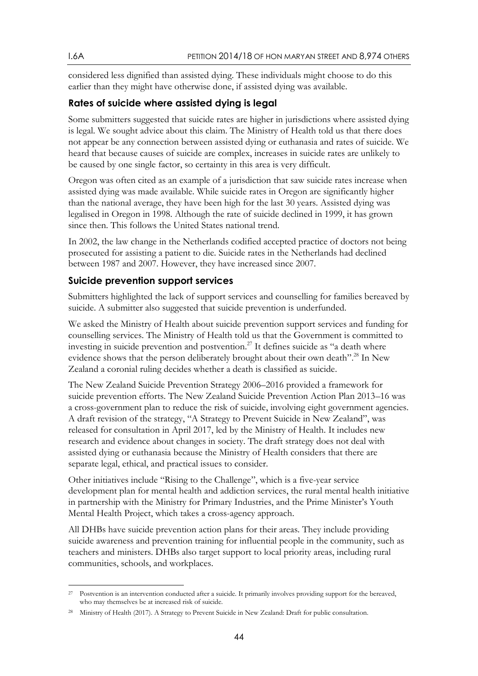considered less dignified than assisted dying. These individuals might choose to do this earlier than they might have otherwise done, if assisted dying was available.

### <span id="page-43-0"></span>**Rates of suicide where assisted dying is legal**

Some submitters suggested that suicide rates are higher in jurisdictions where assisted dying is legal. We sought advice about this claim. The Ministry of Health told us that there does not appear be any connection between assisted dying or euthanasia and rates of suicide. We heard that because causes of suicide are complex, increases in suicide rates are unlikely to be caused by one single factor, so certainty in this area is very difficult.

Oregon was often cited as an example of a jurisdiction that saw suicide rates increase when assisted dying was made available. While suicide rates in Oregon are significantly higher than the national average, they have been high for the last 30 years. Assisted dying was legalised in Oregon in 1998. Although the rate of suicide declined in 1999, it has grown since then. This follows the United States national trend.

In 2002, the law change in the Netherlands codified accepted practice of doctors not being prosecuted for assisting a patient to die. Suicide rates in the Netherlands had declined between 1987 and 2007. However, they have increased since 2007.

#### <span id="page-43-1"></span>**Suicide prevention support services**

Submitters highlighted the lack of support services and counselling for families bereaved by suicide. A submitter also suggested that suicide prevention is underfunded.

We asked the Ministry of Health about suicide prevention support services and funding for counselling services. The Ministry of Health told us that the Government is committed to investing in suicide prevention and postvention.<sup>27</sup> It defines suicide as "a death where evidence shows that the person deliberately brought about their own death". <sup>28</sup> In New Zealand a coronial ruling decides whether a death is classified as suicide.

The New Zealand Suicide Prevention Strategy 2006–2016 provided a framework for suicide prevention efforts. The New Zealand Suicide Prevention Action Plan 2013–16 was a cross-government plan to reduce the risk of suicide, involving eight government agencies. A draft revision of the strategy, "A Strategy to Prevent Suicide in New Zealand", was released for consultation in April 2017, led by the Ministry of Health. It includes new research and evidence about changes in society. The draft strategy does not deal with assisted dying or euthanasia because the Ministry of Health considers that there are separate legal, ethical, and practical issues to consider.

Other initiatives include "Rising to the Challenge", which is a five-year service development plan for mental health and addiction services, the rural mental health initiative in partnership with the Ministry for Primary Industries, and the Prime Minister's Youth Mental Health Project, which takes a cross-agency approach.

All DHBs have suicide prevention action plans for their areas. They include providing suicide awareness and prevention training for influential people in the community, such as teachers and ministers. DHBs also target support to local priority areas, including rural communities, schools, and workplaces.

-

<sup>&</sup>lt;sup>27</sup> Postvention is an intervention conducted after a suicide. It primarily involves providing support for the bereaved, who may themselves be at increased risk of suicide.

<sup>28</sup> Ministry of Health (2017). A Strategy to Prevent Suicide in New Zealand: Draft for public consultation.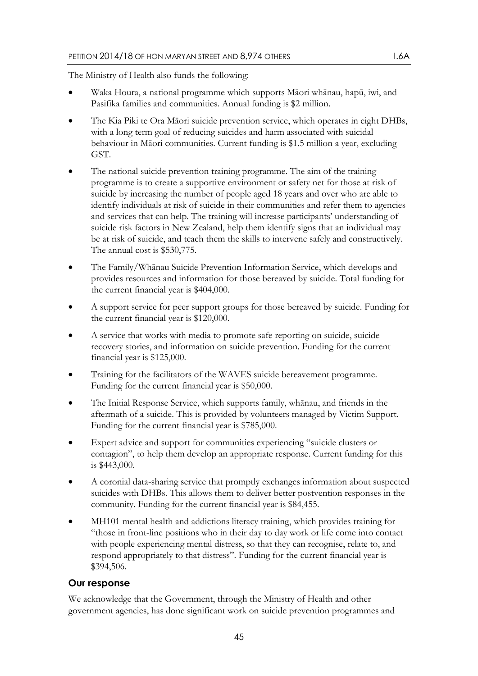The Ministry of Health also funds the following:

- Waka Houra, a national programme which supports Māori whānau, hapū, iwi, and Pasifika families and communities. Annual funding is \$2 million.
- The Kia Piki te Ora Māori suicide prevention service, which operates in eight DHBs, with a long term goal of reducing suicides and harm associated with suicidal behaviour in Māori communities. Current funding is \$1.5 million a year, excluding GST.
- The national suicide prevention training programme. The aim of the training programme is to create a supportive environment or safety net for those at risk of suicide by increasing the number of people aged 18 years and over who are able to identify individuals at risk of suicide in their communities and refer them to agencies and services that can help. The training will increase participants' understanding of suicide risk factors in New Zealand, help them identify signs that an individual may be at risk of suicide, and teach them the skills to intervene safely and constructively. The annual cost is \$530,775.
- The Family/Whānau Suicide Prevention Information Service, which develops and provides resources and information for those bereaved by suicide. Total funding for the current financial year is \$404,000.
- A support service for peer support groups for those bereaved by suicide. Funding for the current financial year is \$120,000.
- A service that works with media to promote safe reporting on suicide, suicide recovery stories, and information on suicide prevention. Funding for the current financial year is \$125,000.
- Training for the facilitators of the WAVES suicide bereavement programme. Funding for the current financial year is \$50,000.
- The Initial Response Service, which supports family, whānau, and friends in the aftermath of a suicide. This is provided by volunteers managed by Victim Support. Funding for the current financial year is \$785,000.
- Expert advice and support for communities experiencing "suicide clusters or contagion", to help them develop an appropriate response. Current funding for this is \$443,000.
- A coronial data-sharing service that promptly exchanges information about suspected suicides with DHBs. This allows them to deliver better postvention responses in the community. Funding for the current financial year is \$84,455.
- MH101 mental health and addictions literacy training, which provides training for "those in front-line positions who in their day to day work or life come into contact with people experiencing mental distress, so that they can recognise, relate to, and respond appropriately to that distress". Funding for the current financial year is \$394,506.

### <span id="page-44-0"></span>**Our response**

We acknowledge that the Government, through the Ministry of Health and other government agencies, has done significant work on suicide prevention programmes and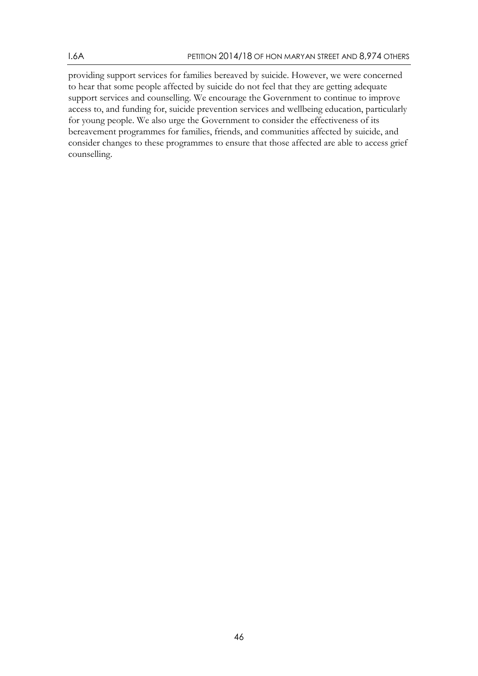providing support services for families bereaved by suicide. However, we were concerned to hear that some people affected by suicide do not feel that they are getting adequate support services and counselling. We encourage the Government to continue to improve access to, and funding for, suicide prevention services and wellbeing education, particularly for young people. We also urge the Government to consider the effectiveness of its bereavement programmes for families, friends, and communities affected by suicide, and consider changes to these programmes to ensure that those affected are able to access grief counselling.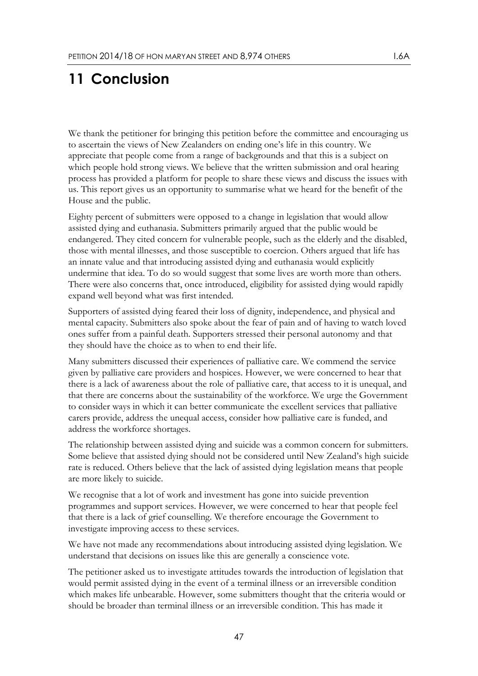# <span id="page-46-0"></span>**11 Conclusion**

We thank the petitioner for bringing this petition before the committee and encouraging us to ascertain the views of New Zealanders on ending one's life in this country. We appreciate that people come from a range of backgrounds and that this is a subject on which people hold strong views. We believe that the written submission and oral hearing process has provided a platform for people to share these views and discuss the issues with us. This report gives us an opportunity to summarise what we heard for the benefit of the House and the public.

Eighty percent of submitters were opposed to a change in legislation that would allow assisted dying and euthanasia. Submitters primarily argued that the public would be endangered. They cited concern for vulnerable people, such as the elderly and the disabled, those with mental illnesses, and those susceptible to coercion. Others argued that life has an innate value and that introducing assisted dying and euthanasia would explicitly undermine that idea. To do so would suggest that some lives are worth more than others. There were also concerns that, once introduced, eligibility for assisted dying would rapidly expand well beyond what was first intended.

Supporters of assisted dying feared their loss of dignity, independence, and physical and mental capacity. Submitters also spoke about the fear of pain and of having to watch loved ones suffer from a painful death. Supporters stressed their personal autonomy and that they should have the choice as to when to end their life.

Many submitters discussed their experiences of palliative care. We commend the service given by palliative care providers and hospices. However, we were concerned to hear that there is a lack of awareness about the role of palliative care, that access to it is unequal, and that there are concerns about the sustainability of the workforce. We urge the Government to consider ways in which it can better communicate the excellent services that palliative carers provide, address the unequal access, consider how palliative care is funded, and address the workforce shortages.

The relationship between assisted dying and suicide was a common concern for submitters. Some believe that assisted dying should not be considered until New Zealand's high suicide rate is reduced. Others believe that the lack of assisted dying legislation means that people are more likely to suicide.

We recognise that a lot of work and investment has gone into suicide prevention programmes and support services. However, we were concerned to hear that people feel that there is a lack of grief counselling. We therefore encourage the Government to investigate improving access to these services.

We have not made any recommendations about introducing assisted dying legislation. We understand that decisions on issues like this are generally a conscience vote.

The petitioner asked us to investigate attitudes towards the introduction of legislation that would permit assisted dying in the event of a terminal illness or an irreversible condition which makes life unbearable. However, some submitters thought that the criteria would or should be broader than terminal illness or an irreversible condition. This has made it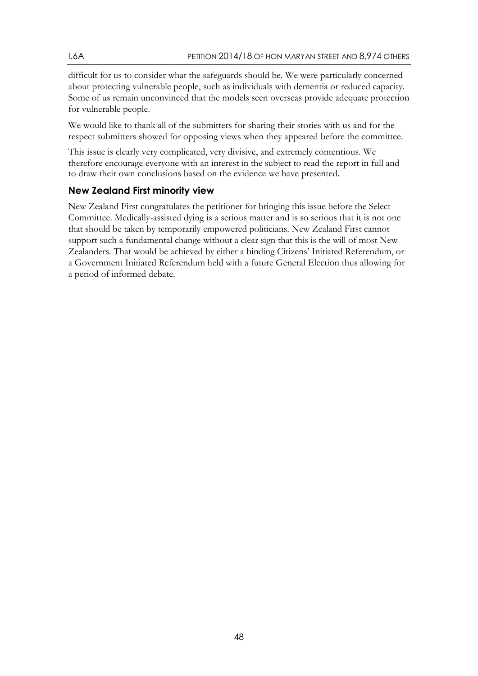difficult for us to consider what the safeguards should be. We were particularly concerned about protecting vulnerable people, such as individuals with dementia or reduced capacity. Some of us remain unconvinced that the models seen overseas provide adequate protection for vulnerable people.

We would like to thank all of the submitters for sharing their stories with us and for the respect submitters showed for opposing views when they appeared before the committee.

This issue is clearly very complicated, very divisive, and extremely contentious. We therefore encourage everyone with an interest in the subject to read the report in full and to draw their own conclusions based on the evidence we have presented.

## <span id="page-47-0"></span>**New Zealand First minority view**

New Zealand First congratulates the petitioner for bringing this issue before the Select Committee. Medically-assisted dying is a serious matter and is so serious that it is not one that should be taken by temporarily empowered politicians. New Zealand First cannot support such a fundamental change without a clear sign that this is the will of most New Zealanders. That would be achieved by either a binding Citizens' Initiated Referendum, or a Government Initiated Referendum held with a future General Election thus allowing for a period of informed debate.